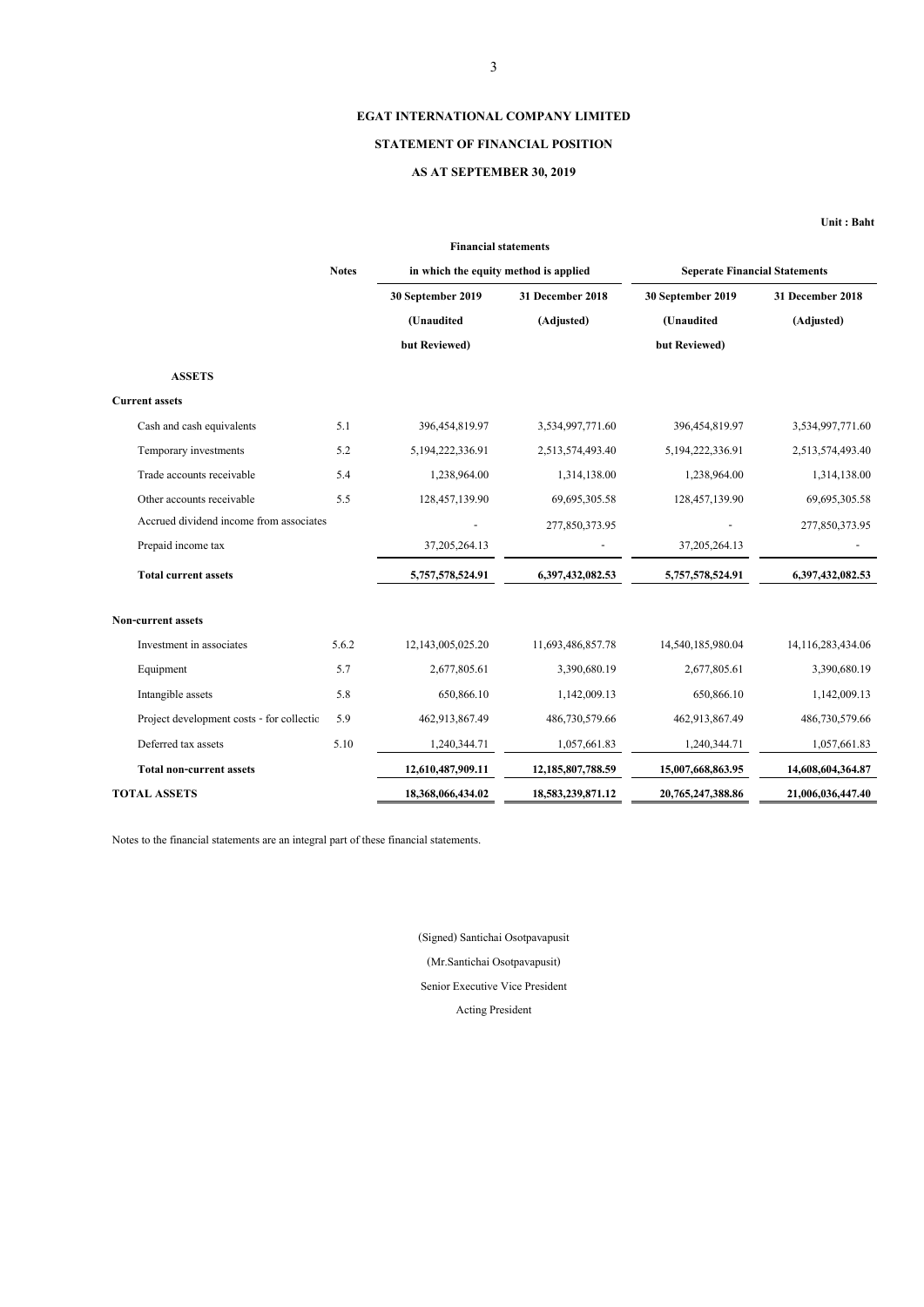**Unit : Baht**

Notes to the financial statements are an integral part of these financial statements.

|                                           |              | <b>Financial statements</b>           |                   |                                      |                   |
|-------------------------------------------|--------------|---------------------------------------|-------------------|--------------------------------------|-------------------|
|                                           | <b>Notes</b> | in which the equity method is applied |                   | <b>Seperate Financial Statements</b> |                   |
|                                           |              | 30 September 2019                     | 31 December 2018  | 30 September 2019                    | 31 December 2018  |
|                                           |              | (Unaudited                            | (Adjusted)        | (Unaudited                           | (Adjusted)        |
|                                           |              | but Reviewed)                         |                   | but Reviewed)                        |                   |
| <b>ASSETS</b>                             |              |                                       |                   |                                      |                   |
| <b>Current assets</b>                     |              |                                       |                   |                                      |                   |
| Cash and cash equivalents                 | 5.1          | 396,454,819.97                        | 3,534,997,771.60  | 396, 454, 819. 97                    | 3,534,997,771.60  |
| Temporary investments                     | 5.2          | 5, 194, 222, 336. 91                  | 2,513,574,493.40  | 5, 194, 222, 336. 91                 | 2,513,574,493.40  |
| Trade accounts receivable                 | 5.4          | 1,238,964.00                          | 1,314,138.00      | 1,238,964.00                         | 1,314,138.00      |
| Other accounts receivable                 | 5.5          | 128, 457, 139.90                      | 69,695,305.58     | 128,457,139.90                       | 69,695,305.58     |
| Accrued dividend income from associates   |              |                                       | 277,850,373.95    |                                      | 277,850,373.95    |
| Prepaid income tax                        |              | 37, 205, 264. 13                      |                   | 37, 205, 264. 13                     |                   |
| <b>Total current assets</b>               |              | 5,757,578,524.91                      | 6,397,432,082.53  | 5,757,578,524.91                     | 6,397,432,082.53  |
| <b>Non-current assets</b>                 |              |                                       |                   |                                      |                   |
| Investment in associates                  | 5.6.2        | 12,143,005,025.20                     | 11,693,486,857.78 | 14,540,185,980.04                    | 14,116,283,434.06 |
| Equipment                                 | 5.7          | 2,677,805.61                          | 3,390,680.19      | 2,677,805.61                         | 3,390,680.19      |
| Intangible assets                         | 5.8          | 650,866.10                            | 1,142,009.13      | 650,866.10                           | 1,142,009.13      |
| Project development costs - for collectic | 5.9          | 462,913,867.49                        | 486,730,579.66    | 462,913,867.49                       | 486,730,579.66    |
| Deferred tax assets                       | 5.10         | 1,240,344.71                          | 1,057,661.83      | 1,240,344.71                         | 1,057,661.83      |
| <b>Total non-current assets</b>           |              | 12,610,487,909.11                     | 12,185,807,788.59 | 15,007,668,863.95                    | 14,608,604,364.87 |
| <b>TOTAL ASSETS</b>                       |              | 18,368,066,434.02                     | 18,583,239,871.12 | 20,765,247,388.86                    | 21,006,036,447.40 |

# **EGAT INTERNATIONAL COMPANY LIMITED**

# **STATEMENT OF FINANCIAL POSITION**

# **AS AT SEPTEMBER 30, 2019**

Senior Executive Vice President

(Signed) Santichai Osotpavapusit

(Mr.Santichai Osotpavapusit)

Acting President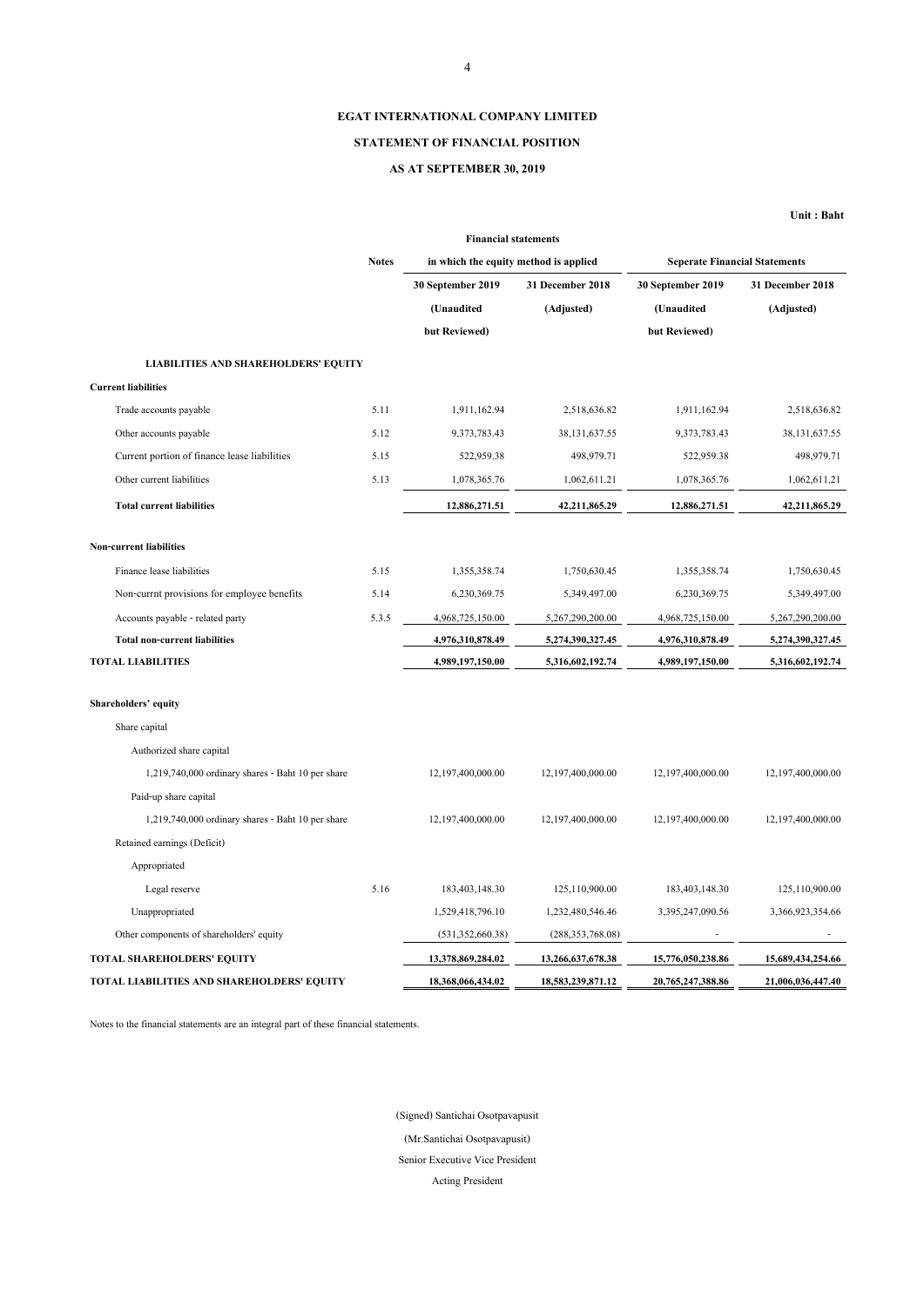**Unit : Baht**

# **Shareholders' equity**

Share capital

Authorized share capital

1,219,740,000 ordinary shares - Baht 10 per share 12,197,400,000.00 12,197,400,000.00 12,197,400,000.00 12,197,400,000.00

Paid-up share capital

| $1,219,740,000$ ordinary shares - Baht 10 per share |      | 12,197,400,000.00  | 12,197,400,000.00  | 12,197,400,000.00 | 12,197,400,000.00 |
|-----------------------------------------------------|------|--------------------|--------------------|-------------------|-------------------|
| Retained earnings (Deficit)                         |      |                    |                    |                   |                   |
| Appropriated                                        |      |                    |                    |                   |                   |
| Legal reserve                                       | 5.16 | 183,403,148.30     | 125,110,900.00     | 183,403,148.30    | 125,110,900.00    |
| Unappropriated                                      |      | 1,529,418,796.10   | 1,232,480,546.46   | 3,395,247,090.56  | 3,366,923,354.66  |
| Other components of shareholders' equity            |      | (531, 352, 660.38) | (288, 353, 768.08) |                   |                   |
| <b>TOTAL SHAREHOLDERS' EQUITY</b>                   |      | 13,378,869,284.02  | 13,266,637,678.38  | 15,776,050,238.86 | 15,689,434,254.66 |
| TOTAL LIABILITIES AND SHAREHOLDERS' EQUITY          |      | 18,368,066,434.02  | 18,583,239,871.12  | 20,765,247,388.86 | 21,006,036,447.40 |

|                                              |              | <b>Financial statements</b>           |                  |                                      |                         |  |
|----------------------------------------------|--------------|---------------------------------------|------------------|--------------------------------------|-------------------------|--|
|                                              | <b>Notes</b> | in which the equity method is applied |                  | <b>Seperate Financial Statements</b> |                         |  |
|                                              |              | 30 September 2019                     | 31 December 2018 | 30 September 2019                    | <b>31 December 2018</b> |  |
|                                              |              | (Unaudited                            | (Adjusted)       | (Unaudited                           | (Adjusted)              |  |
|                                              |              | but Reviewed)                         |                  | but Reviewed)                        |                         |  |
| <b>LIABILITIES AND SHAREHOLDERS' EQUITY</b>  |              |                                       |                  |                                      |                         |  |
| <b>Current liabilities</b>                   |              |                                       |                  |                                      |                         |  |
| Trade accounts payable                       | 5.11         | 1,911,162.94                          | 2,518,636.82     | 1,911,162.94                         | 2,518,636.82            |  |
| Other accounts payable                       | 5.12         | 9,373,783.43                          | 38, 131, 637. 55 | 9,373,783.43                         | 38, 131, 637. 55        |  |
| Current portion of finance lease liabilities | 5.15         | 522,959.38                            | 498,979.71       | 522,959.38                           | 498,979.71              |  |
| Other current liabilities                    | 5.13         | 1,078,365.76                          | 1,062,611.21     | 1,078,365.76                         | 1,062,611.21            |  |
| <b>Total current liabilities</b>             |              | 12,886,271.51                         | 42,211,865.29    | 12,886,271.51                        | 42,211,865.29           |  |
| <b>Non-current liabilities</b>               |              |                                       |                  |                                      |                         |  |
| Finance lease liabilities                    | 5.15         | 1,355,358.74                          | 1,750,630.45     | 1,355,358.74                         | 1,750,630.45            |  |
| Non-currnt provisions for employee benefits  | 5.14         | 6,230,369.75                          | 5,349,497.00     | 6,230,369.75                         | 5,349,497.00            |  |
| Accounts payable - related party             | 5.3.5        | 4,968,725,150.00                      | 5,267,290,200.00 | 4,968,725,150.00                     | 5,267,290,200.00        |  |
| <b>Total non-current liabilities</b>         |              | 4,976,310,878.49                      | 5,274,390,327.45 | 4,976,310,878.49                     | 5,274,390,327.45        |  |
| <b>TOTAL LIABILITIES</b>                     |              | 4,989,197,150.00                      | 5,316,602,192.74 | 4,989,197,150.00                     | 5,316,602,192.74        |  |

Notes to the financial statements are an integral part of these financial statements.

4

# **EGAT INTERNATIONAL COMPANY LIMITED**

# **STATEMENT OF FINANCIAL POSITION**

# **AS AT SEPTEMBER 30, 2019**

Acting President

(Signed) Santichai Osotpavapusit

(Mr.Santichai Osotpavapusit)

Senior Executive Vice President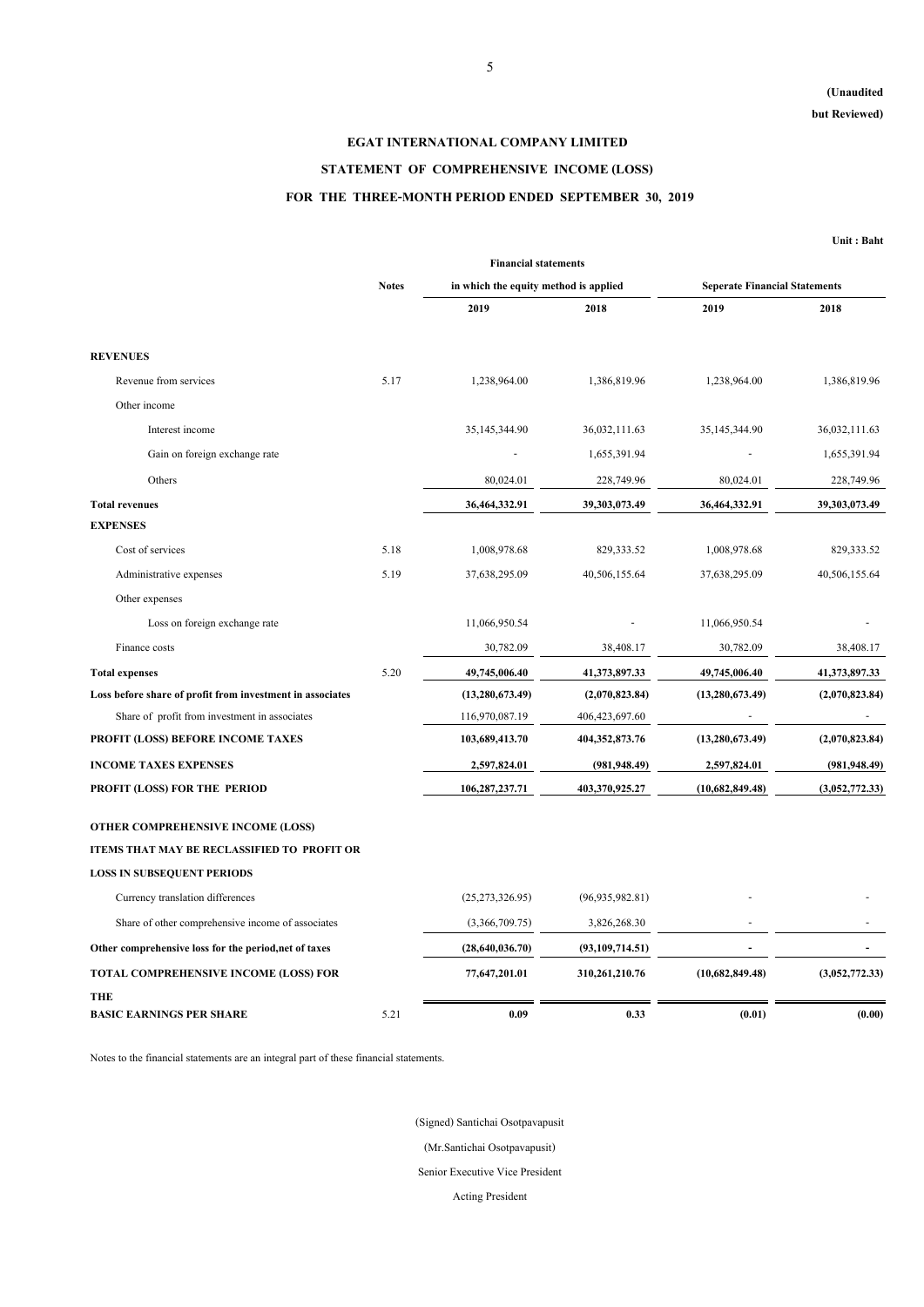# **(Unaudited**

**but Reviewed)**

**Unit : Baht**

|                                                           | <b>Financial statements</b> |                                       |                   |                                      |                |  |  |  |  |
|-----------------------------------------------------------|-----------------------------|---------------------------------------|-------------------|--------------------------------------|----------------|--|--|--|--|
|                                                           | <b>Notes</b>                | in which the equity method is applied |                   | <b>Seperate Financial Statements</b> |                |  |  |  |  |
|                                                           |                             | 2019                                  | 2018              | 2019                                 | 2018           |  |  |  |  |
| <b>REVENUES</b>                                           |                             |                                       |                   |                                      |                |  |  |  |  |
| Revenue from services                                     | 5.17                        | 1,238,964.00                          | 1,386,819.96      | 1,238,964.00                         | 1,386,819.96   |  |  |  |  |
| Other income                                              |                             |                                       |                   |                                      |                |  |  |  |  |
| Interest income                                           |                             | 35, 145, 344. 90                      | 36,032,111.63     | 35, 145, 344. 90                     | 36,032,111.63  |  |  |  |  |
| Gain on foreign exchange rate                             |                             |                                       | 1,655,391.94      |                                      | 1,655,391.94   |  |  |  |  |
| Others                                                    |                             | 80,024.01                             | 228,749.96        | 80,024.01                            | 228,749.96     |  |  |  |  |
| <b>Total revenues</b>                                     |                             | 36,464,332.91                         | 39,303,073.49     | 36,464,332.91                        | 39,303,073.49  |  |  |  |  |
| <b>EXPENSES</b>                                           |                             |                                       |                   |                                      |                |  |  |  |  |
| Cost of services                                          | 5.18                        | 1,008,978.68                          | 829, 333.52       | 1,008,978.68                         | 829,333.52     |  |  |  |  |
| Administrative expenses                                   | 5.19                        | 37,638,295.09                         | 40,506,155.64     | 37,638,295.09                        | 40,506,155.64  |  |  |  |  |
| Other expenses                                            |                             |                                       |                   |                                      |                |  |  |  |  |
| Loss on foreign exchange rate                             |                             | 11,066,950.54                         |                   | 11,066,950.54                        |                |  |  |  |  |
| Finance costs                                             |                             | 30,782.09                             | 38,408.17         | 30,782.09                            | 38,408.17      |  |  |  |  |
| <b>Total expenses</b>                                     | 5.20                        | 49,745,006.40                         | 41,373,897.33     | 49,745,006.40                        | 41,373,897.33  |  |  |  |  |
| Loss before share of profit from investment in associates |                             | (13, 280, 673.49)                     | (2,070,823.84)    | (13, 280, 673.49)                    | (2,070,823.84) |  |  |  |  |
| Share of profit from investment in associates             |                             | 116,970,087.19                        | 406, 423, 697. 60 |                                      |                |  |  |  |  |
| PROFIT (LOSS) BEFORE INCOME TAXES                         |                             | 103,689,413.70                        | 404, 352, 873. 76 | (13, 280, 673.49)                    | (2,070,823.84) |  |  |  |  |
| <b>INCOME TAXES EXPENSES</b>                              |                             | 2,597,824.01                          | (981, 948.49)     | 2,597,824.01                         | (981, 948.49)  |  |  |  |  |
| PROFIT (LOSS) FOR THE PERIOD                              |                             | 106,287,237.71                        | 403,370,925.27    | (10,682,849.48)                      | (3,052,772.33) |  |  |  |  |

## **OTHER COMPREHENSIVE INCOME (LOSS)**

Notes to the financial statements are an integral part of these financial statements.

| Currency translation differences                      |      | (25,273,326.95) | (96, 935, 982.81) |                 |                |
|-------------------------------------------------------|------|-----------------|-------------------|-----------------|----------------|
| Share of other comprehensive income of associates     |      | (3,366,709.75)  | 3,826,268.30      |                 |                |
| Other comprehensive loss for the period, net of taxes |      | (28,640,036.70) | (93,109,714.51)   |                 |                |
| <b>TOTAL COMPREHENSIVE INCOME (LOSS) FOR</b>          |      | 77,647,201.01   | 310,261,210.76    | (10,682,849.48) | (3,052,772.33) |
| <b>THE</b>                                            |      |                 |                   |                 |                |
| <b>BASIC EARNINGS PER SHARE</b>                       | 5.21 | 0.09            | 0.33              | (0.01)          | (0.00)         |

# **EGAT INTERNATIONAL COMPANY LIMITED**

# **STATEMENT OF COMPREHENSIVE INCOME (LOSS)**

# **FOR THE THREE-MONTH PERIOD ENDED SEPTEMBER 30, 2019**

Acting President

# **ITEMS THAT MAY BE RECLASSIFIED TO PROFIT OR**

## **LOSS IN SUBSEQUENT PERIODS**

(Signed) Santichai Osotpavapusit

(Mr.Santichai Osotpavapusit)

Senior Executive Vice President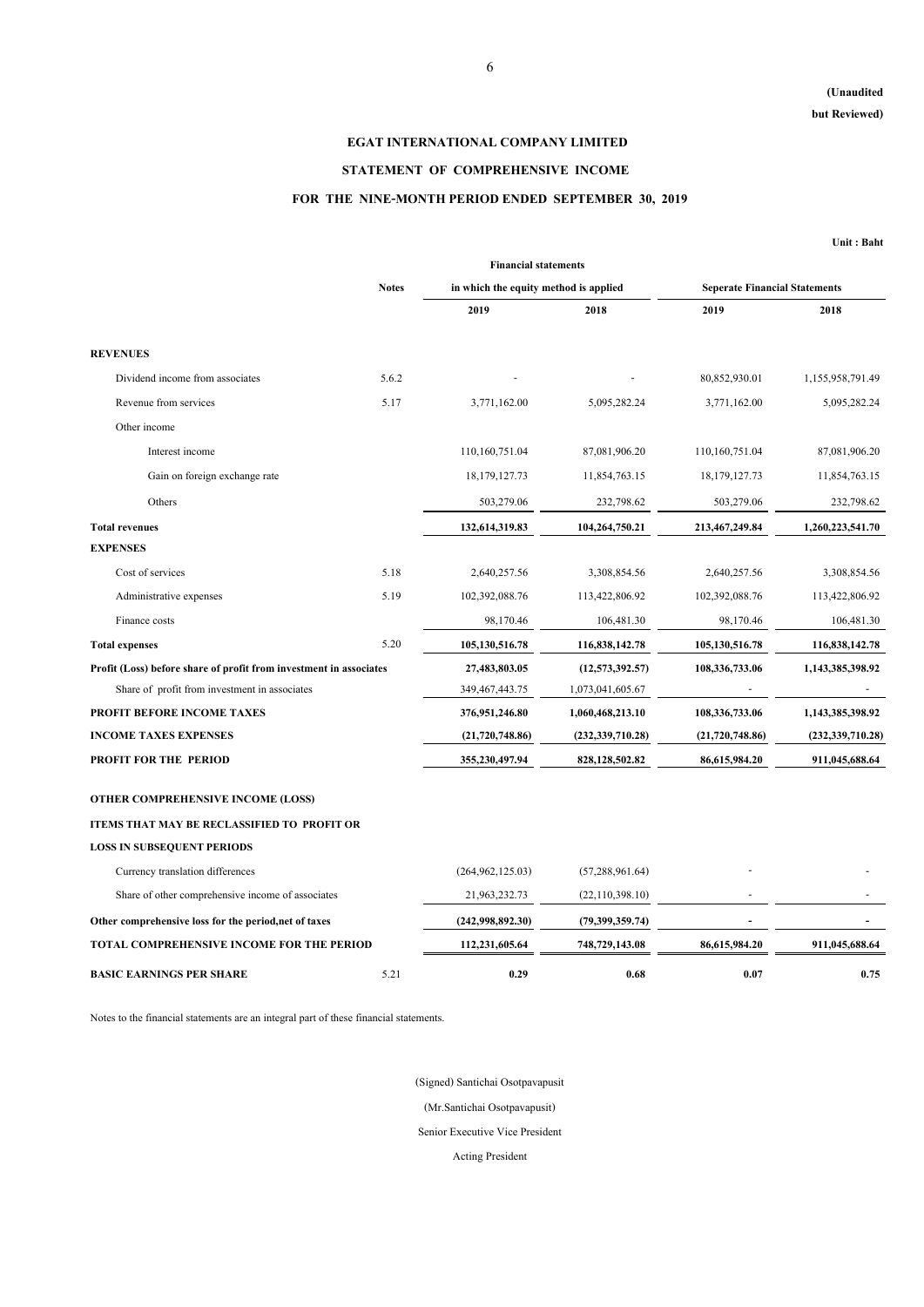# **(Unaudited**

**but Reviewed)**

**Unit : Baht**

|                                                                    | <b>Financial statements</b> |                                       |                    |                                      |                    |  |  |  |  |
|--------------------------------------------------------------------|-----------------------------|---------------------------------------|--------------------|--------------------------------------|--------------------|--|--|--|--|
|                                                                    | <b>Notes</b>                | in which the equity method is applied |                    | <b>Seperate Financial Statements</b> |                    |  |  |  |  |
|                                                                    |                             | 2019                                  | 2018               | 2019                                 | 2018               |  |  |  |  |
| <b>REVENUES</b>                                                    |                             |                                       |                    |                                      |                    |  |  |  |  |
| Dividend income from associates                                    | 5.6.2                       |                                       |                    | 80,852,930.01                        | 1,155,958,791.49   |  |  |  |  |
| Revenue from services                                              | 5.17                        | 3,771,162.00                          | 5,095,282.24       | 3,771,162.00                         | 5,095,282.24       |  |  |  |  |
| Other income                                                       |                             |                                       |                    |                                      |                    |  |  |  |  |
| Interest income                                                    |                             | 110,160,751.04                        | 87,081,906.20      | 110,160,751.04                       | 87,081,906.20      |  |  |  |  |
| Gain on foreign exchange rate                                      |                             | 18, 179, 127. 73                      | 11,854,763.15      | 18, 179, 127. 73                     | 11,854,763.15      |  |  |  |  |
| Others                                                             |                             | 503,279.06                            | 232,798.62         | 503,279.06                           | 232,798.62         |  |  |  |  |
| <b>Total revenues</b>                                              |                             | 132,614,319.83                        | 104,264,750.21     | 213,467,249.84                       | 1,260,223,541.70   |  |  |  |  |
| <b>EXPENSES</b>                                                    |                             |                                       |                    |                                      |                    |  |  |  |  |
| Cost of services                                                   | 5.18                        | 2,640,257.56                          | 3,308,854.56       | 2,640,257.56                         | 3,308,854.56       |  |  |  |  |
| Administrative expenses                                            | 5.19                        | 102,392,088.76                        | 113,422,806.92     | 102,392,088.76                       | 113,422,806.92     |  |  |  |  |
| Finance costs                                                      |                             | 98,170.46                             | 106,481.30         | 98,170.46                            | 106,481.30         |  |  |  |  |
| <b>Total expenses</b>                                              | 5.20                        | 105, 130, 516.78                      | 116,838,142.78     | 105,130,516.78                       | 116,838,142.78     |  |  |  |  |
| Profit (Loss) before share of profit from investment in associates |                             | 27,483,803.05                         | (12,573,392.57)    | 108,336,733.06                       | 1,143,385,398.92   |  |  |  |  |
| Share of profit from investment in associates                      |                             | 349, 467, 443. 75                     | 1,073,041,605.67   |                                      |                    |  |  |  |  |
| PROFIT BEFORE INCOME TAXES                                         |                             | 376,951,246.80                        | 1,060,468,213.10   | 108,336,733.06                       | 1,143,385,398.92   |  |  |  |  |
| <b>INCOME TAXES EXPENSES</b>                                       |                             | (21,720,748.86)                       | (232, 339, 710.28) | (21,720,748.86)                      | (232, 339, 710.28) |  |  |  |  |
| PROFIT FOR THE PERIOD                                              |                             | 355,230,497.94                        | 828,128,502.82     | 86,615,984.20                        | 911,045,688.64     |  |  |  |  |

## **OTHER COMPREHENSIVE INCOME (LOSS)**

| Currency translation differences                      |      | (264, 962, 125.03) | (57, 288, 961.64) |               |                |
|-------------------------------------------------------|------|--------------------|-------------------|---------------|----------------|
| Share of other comprehensive income of associates     |      | 21,963,232.73      | (22,110,398.10)   |               |                |
| Other comprehensive loss for the period, net of taxes |      | (242,998,892.30)   | (79,399,359.74)   |               |                |
| <b>TOTAL COMPREHENSIVE INCOME FOR THE PERIOD</b>      |      | 112,231,605.64     | 748,729,143.08    | 86,615,984.20 | 911,045,688.64 |
| <b>BASIC EARNINGS PER SHARE</b>                       | 5.21 | 0.29               | 0.68              | 0.07          | 0.75           |

Notes to the financial statements are an integral part of these financial statements.

# **EGAT INTERNATIONAL COMPANY LIMITED**

# **STATEMENT OF COMPREHENSIVE INCOME**

# **FOR THE NINE-MONTH PERIOD ENDED SEPTEMBER 30, 2019**

Acting President

## **ITEMS THAT MAY BE RECLASSIFIED TO PROFIT OR**

## **LOSS IN SUBSEQUENT PERIODS**

(Signed) Santichai Osotpavapusit

(Mr.Santichai Osotpavapusit)

Senior Executive Vice President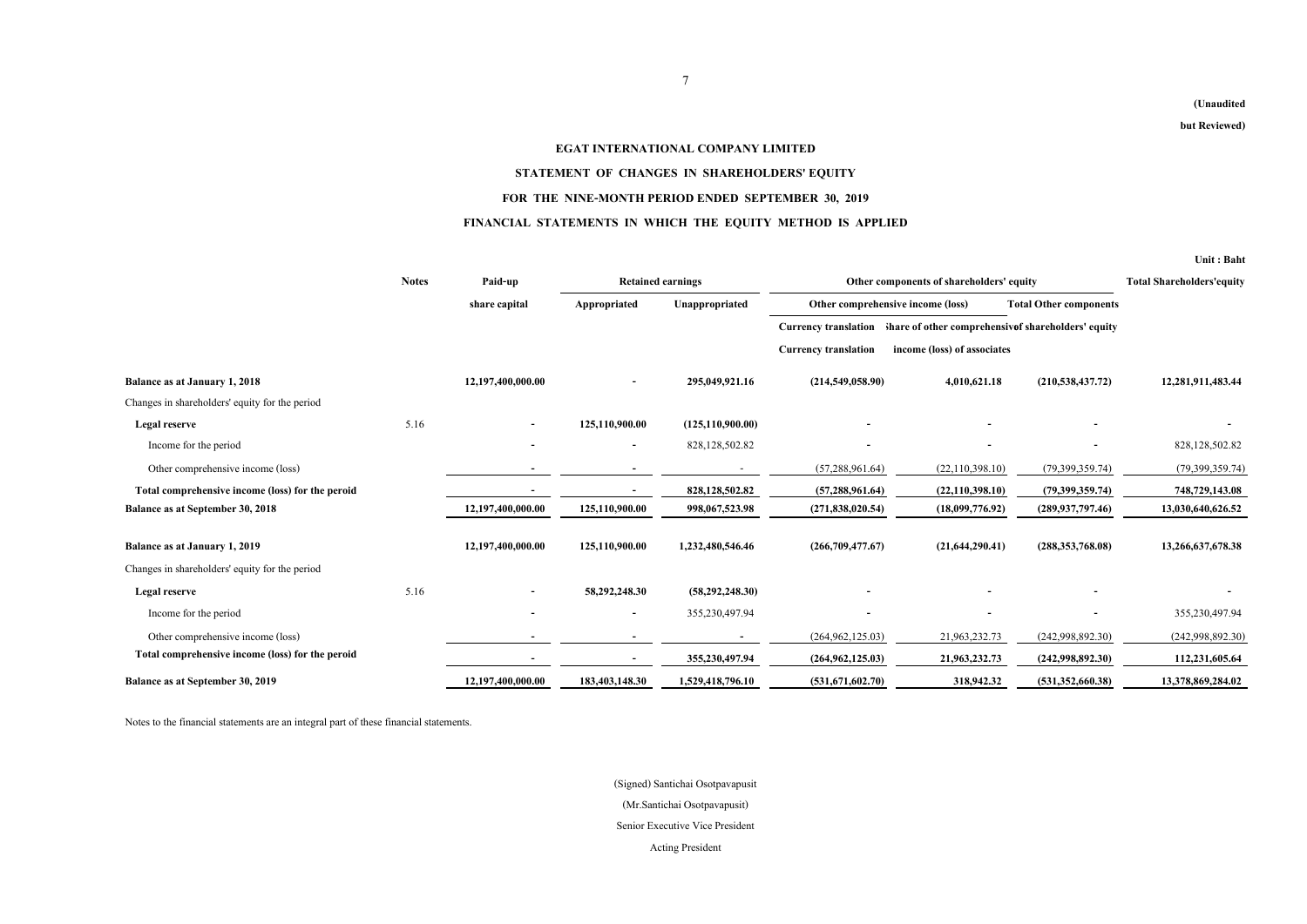|                                                  |              |                   |                          |                          |                             |                                                                       |                               | Unit: Baht        |  |
|--------------------------------------------------|--------------|-------------------|--------------------------|--------------------------|-----------------------------|-----------------------------------------------------------------------|-------------------------------|-------------------|--|
|                                                  | <b>Notes</b> | Paid-up           |                          | <b>Retained earnings</b> |                             | Other components of shareholders' equity                              |                               |                   |  |
|                                                  |              | share capital     | Appropriated             | Unappropriated           |                             | Other comprehensive income (loss)                                     | <b>Total Other components</b> |                   |  |
|                                                  |              |                   |                          |                          |                             | Currency translation hare of other comprehensive shareholders' equity |                               |                   |  |
|                                                  |              |                   |                          |                          | <b>Currency translation</b> | income (loss) of associates                                           |                               |                   |  |
| <b>Balance as at January 1, 2018</b>             |              | 12,197,400,000.00 |                          | 295,049,921.16           | (214,549,058.90)            | 4,010,621.18                                                          | (210, 538, 437.72)            | 12,281,911,483.44 |  |
| Changes in shareholders' equity for the period   |              |                   |                          |                          |                             |                                                                       |                               |                   |  |
| <b>Legal reserve</b>                             | 5.16         |                   | 125,110,900.00           | (125, 110, 900.00)       |                             |                                                                       |                               |                   |  |
| Income for the period                            |              |                   | $\blacksquare$           | 828, 128, 502. 82        |                             |                                                                       |                               | 828,128,502.82    |  |
| Other comprehensive income (loss)                |              |                   |                          |                          | (57, 288, 961.64)           | (22, 110, 398.10)                                                     | (79,399,359.74)               | (79,399,359.74)   |  |
| Total comprehensive income (loss) for the peroid |              |                   |                          | 828,128,502.82           | (57, 288, 961.64)           | (22, 110, 398.10)                                                     | (79,399,359.74)               | 748,729,143.08    |  |
| <b>Balance as at September 30, 2018</b>          |              | 12,197,400,000.00 | 125,110,900.00           | 998,067,523.98           | (271,838,020.54)            | (18,099,776.92)                                                       | (289, 937, 797.46)            | 13,030,640,626.52 |  |
| <b>Balance as at January 1, 2019</b>             |              | 12,197,400,000.00 | 125,110,900.00           | 1,232,480,546.46         | (266,709,477.67)            | (21, 644, 290.41)                                                     | (288, 353, 768.08)            | 13,266,637,678.38 |  |
| Changes in shareholders' equity for the period   |              |                   |                          |                          |                             |                                                                       |                               |                   |  |
| <b>Legal reserve</b>                             | 5.16         |                   | 58,292,248.30            | (58, 292, 248.30)        |                             |                                                                       |                               |                   |  |
| Income for the period                            |              |                   | $\overline{\phantom{a}}$ | 355,230,497.94           |                             |                                                                       |                               | 355,230,497.94    |  |
| Other comprehensive income (loss)                |              |                   |                          |                          | (264, 962, 125.03)          | 21,963,232.73                                                         | (242,998,892.30)              | (242,998,892.30)  |  |
| Total comprehensive income (loss) for the peroid |              |                   |                          | 355,230,497.94           | (264, 962, 125.03)          | 21,963,232.73                                                         | (242,998,892.30)              | 112,231,605.64    |  |
| Balance as at September 30, 2019                 |              | 12,197,400,000.00 | 183,403,148.30           | 1,529,418,796.10         | (531,671,602.70)            | 318,942.32                                                            | (531, 352, 660.38)            | 13,378,869,284.02 |  |

Notes to the financial statements are an integral part of these financial statements.

# **EGAT INTERNATIONAL COMPANY LIMITED STATEMENT OF CHANGES IN SHAREHOLDERS' EQUITY FOR THE NINE-MONTH PERIOD ENDED SEPTEMBER 30, 2019 FINANCIAL STATEMENTS IN WHICH THE EQUITY METHOD IS APPLIED**

Acting President Senior Executive Vice President (Signed) Santichai Osotpavapusit (Mr.Santichai Osotpavapusit)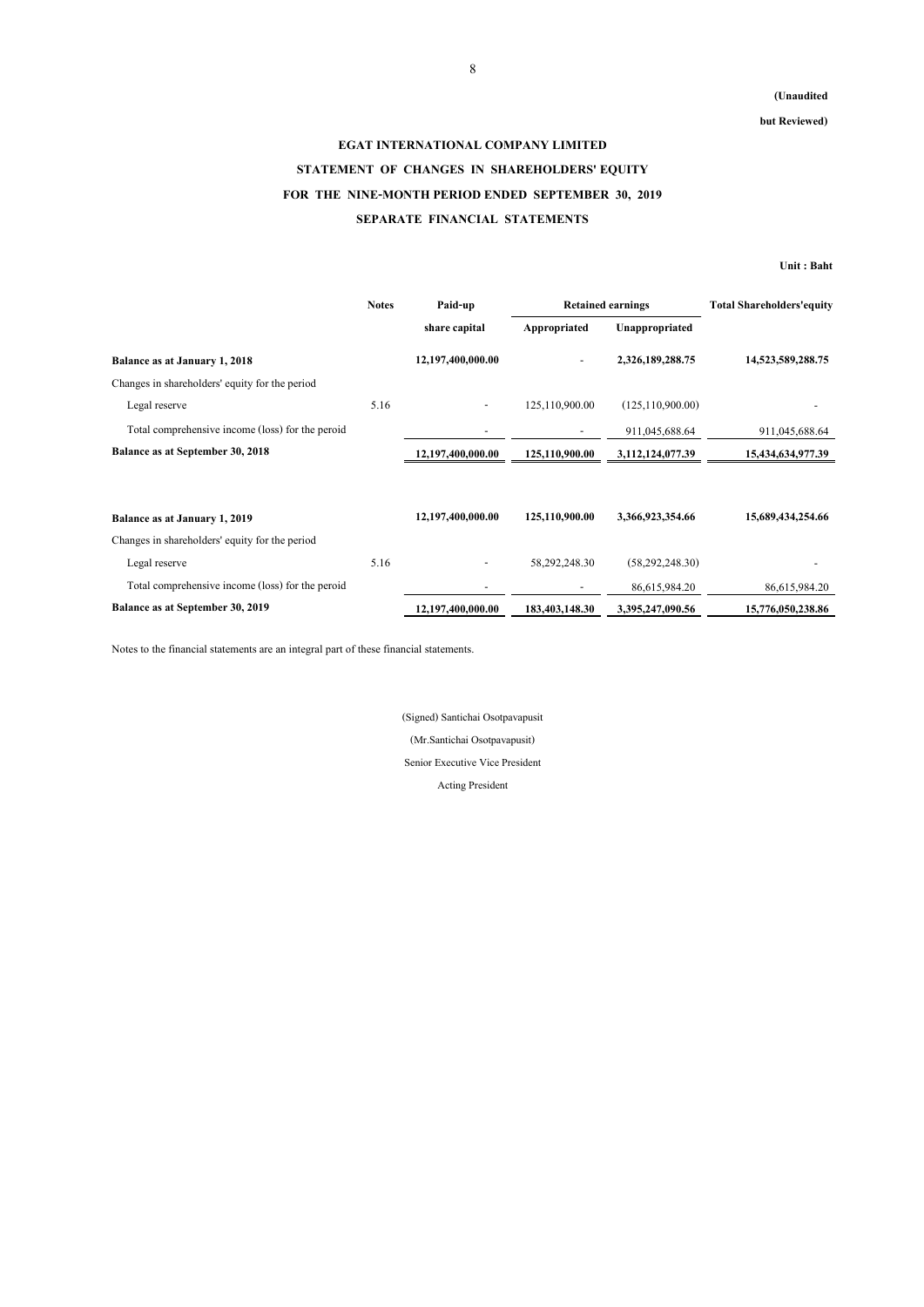**but Reviewed)**

## **Unit : Baht**

|                                                  | <b>Notes</b> | Paid-up                      | <b>Retained earnings</b> |                     | <b>Total Shareholders'equity</b> |
|--------------------------------------------------|--------------|------------------------------|--------------------------|---------------------|----------------------------------|
|                                                  |              | share capital                | Appropriated             | Unappropriated      |                                  |
| <b>Balance as at January 1, 2018</b>             |              | 12,197,400,000.00            |                          | 2,326,189,288.75    | 14,523,589,288.75                |
| Changes in shareholders' equity for the period   |              |                              |                          |                     |                                  |
| Legal reserve                                    | 5.16         | $\qquad \qquad \blacksquare$ | 125,110,900.00           | (125, 110, 900.00)  |                                  |
| Total comprehensive income (loss) for the peroid |              |                              | $\sim$                   | 911,045,688.64      | 911,045,688.64                   |
| <b>Balance as at September 30, 2018</b>          |              | 12,197,400,000.00            | 125,110,900.00           | 3, 112, 124, 077.39 | 15,434,634,977.39                |
|                                                  |              |                              |                          |                     |                                  |
| <b>Balance as at January 1, 2019</b>             |              | 12,197,400,000.00            | 125,110,900.00           | 3,366,923,354.66    | 15,689,434,254.66                |
| Changes in shareholders' equity for the period   |              |                              |                          |                     |                                  |
| Legal reserve                                    | 5.16         |                              | 58,292,248.30            | (58, 292, 248.30)   |                                  |
| Total comprehensive income (loss) for the peroid |              |                              |                          | 86,615,984.20       | 86,615,984.20                    |
| <b>Balance as at September 30, 2019</b>          |              | 12,197,400,000.00            | 183,403,148.30           | 3,395,247,090.56    | 15,776,050,238.86                |

Notes to the financial statements are an integral part of these financial statements.

# **EGAT INTERNATIONAL COMPANY LIMITED STATEMENT OF CHANGES IN SHAREHOLDERS' EQUITY FOR THE NINE-MONTH PERIOD ENDED SEPTEMBER 30, 2019 SEPARATE FINANCIAL STATEMENTS**

(Signed) Santichai Osotpavapusit

(Mr.Santichai Osotpavapusit)

Senior Executive Vice President

Acting President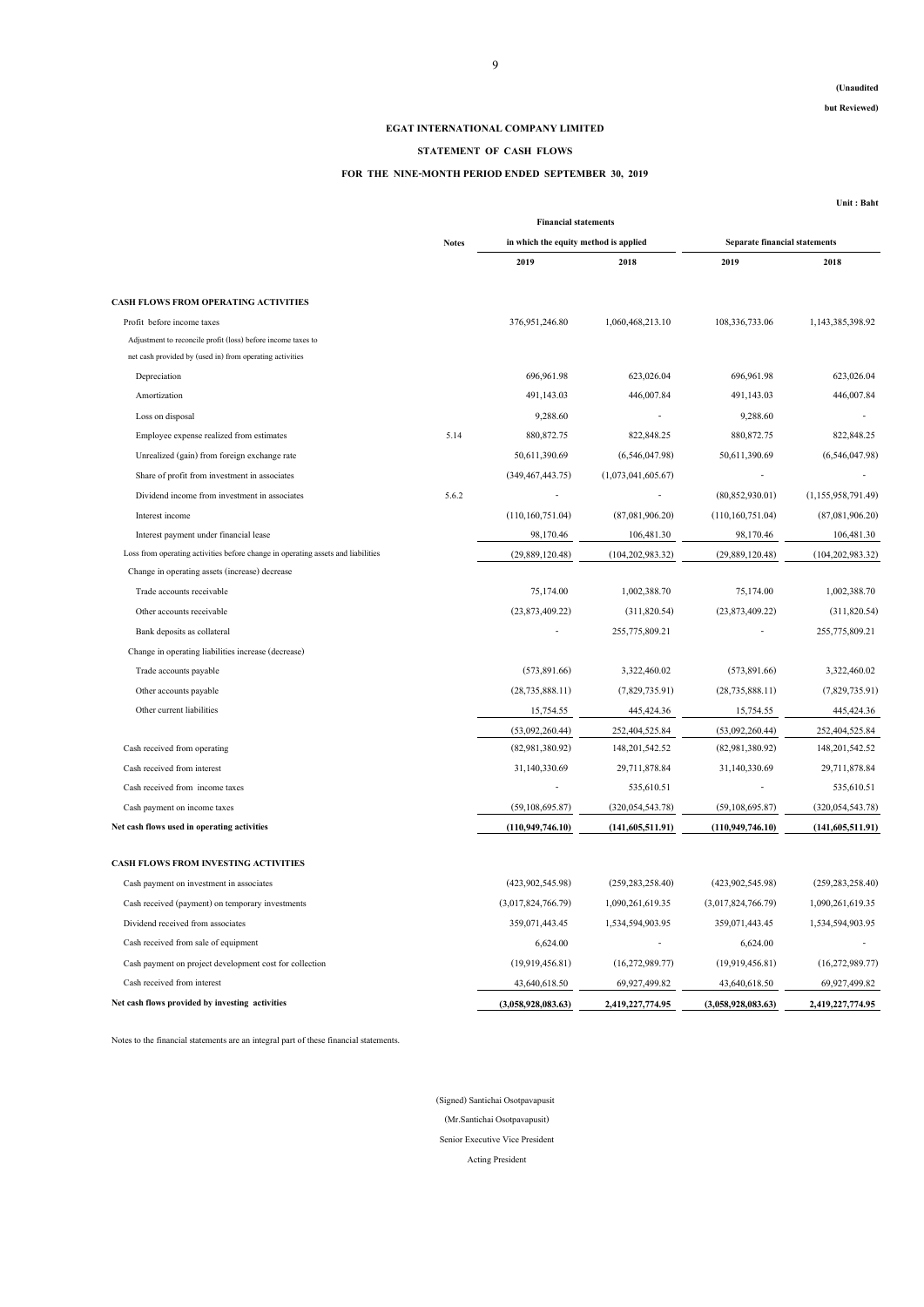## **(Unaudited**

**but Reviewed)**

**Unit : Baht**

|                                                                                  |               | <b>Financial statements</b>           |                     |                                      |                    |
|----------------------------------------------------------------------------------|---------------|---------------------------------------|---------------------|--------------------------------------|--------------------|
|                                                                                  | <b>Notes</b>  | in which the equity method is applied |                     | <b>Separate financial statements</b> |                    |
|                                                                                  | 5.14<br>5.6.2 | 2019                                  | 2018                | 2019                                 | 2018               |
| <b>CASH FLOWS FROM OPERATING ACTIVITIES</b>                                      |               |                                       |                     |                                      |                    |
| Profit before income taxes                                                       |               | 376,951,246.80                        | 1,060,468,213.10    | 108, 336, 733.06                     | 1,143,385,398.92   |
| Adjustment to reconcile profit (loss) before income taxes to                     |               |                                       |                     |                                      |                    |
| net cash provided by (used in) from operating activities                         |               |                                       |                     |                                      |                    |
| Depreciation                                                                     |               | 696,961.98                            | 623,026.04          | 696,961.98                           | 623,026.04         |
| Amortization                                                                     |               | 491,143.03                            | 446,007.84          | 491,143.03                           | 446,007.84         |
| Loss on disposal                                                                 |               | 9,288.60                              |                     | 9,288.60                             |                    |
| Employee expense realized from estimates                                         |               | 880, 872. 75                          | 822,848.25          | 880, 872. 75                         | 822,848.25         |
| Unrealized (gain) from foreign exchange rate                                     |               | 50,611,390.69                         | (6,546,047.98)      | 50,611,390.69                        | (6,546,047.98)     |
| Share of profit from investment in associates                                    |               | (349, 467, 443.75)                    | (1,073,041,605.67)  |                                      |                    |
| Dividend income from investment in associates                                    |               |                                       |                     | (80, 852, 930.01)                    | (1,155,958,791.49) |
| Interest income                                                                  |               | (110,160,751.04)                      | (87,081,906.20)     | (110, 160, 751.04)                   | (87,081,906.20)    |
| Interest payment under financial lease                                           |               | 98,170.46                             | 106,481.30          | 98,170.46                            | 106,481.30         |
| Loss from operating activities before change in operating assets and liabilities |               | (29,889,120.48)                       | (104, 202, 983.32)  | (29,889,120.48)                      | (104, 202, 983.32) |
| Change in operating assets (increase) decrease                                   |               |                                       |                     |                                      |                    |
| Trade accounts receivable                                                        |               | 75,174.00                             | 1,002,388.70        | 75,174.00                            | 1,002,388.70       |
| Other accounts receivable                                                        |               | (23,873,409.22)                       | (311,820.54)        | (23,873,409.22)                      | (311,820.54)       |
| Bank deposits as collateral                                                      |               |                                       | 255,775,809.21      |                                      | 255,775,809.21     |
| Change in operating liabilities increase (decrease)                              |               |                                       |                     |                                      |                    |
| Trade accounts payable                                                           |               | (573, 891.66)                         | 3,322,460.02        | (573, 891.66)                        | 3,322,460.02       |
| Other accounts payable                                                           |               | (28, 735, 888.11)                     | (7,829,735.91)      | (28, 735, 888.11)                    | (7,829,735.91)     |
| Other current liabilities                                                        |               | 15,754.55                             | 445, 424. 36        | 15,754.55                            | 445, 424. 36       |
|                                                                                  |               | (53,092,260.44)                       | 252,404,525.84      | (53,092,260.44)                      | 252,404,525.84     |
| Cash received from operating                                                     |               | (82,981,380.92)                       | 148, 201, 542. 52   | (82,981,380.92)                      | 148, 201, 542. 52  |
| Cash received from interest                                                      |               | 31,140,330.69                         | 29,711,878.84       | 31,140,330.69                        | 29,711,878.84      |
| Cash received from income taxes                                                  |               |                                       | 535,610.51          |                                      | 535,610.51         |
| Cash payment on income taxes                                                     |               | (59, 108, 695.87)                     | (320, 054, 543.78)  | (59, 108, 695.87)                    | (320, 054, 543.78) |
| Net cash flows used in operating activities                                      |               | (110, 949, 746.10)                    | (141,605,511.91)    | (110, 949, 746.10)                   | (141,605,511.91)   |
| <b>CASH FLOWS FROM INVESTING ACTIVITIES</b>                                      |               |                                       |                     |                                      |                    |
| Cash payment on investment in associates                                         |               | (423,902,545.98)                      | (259, 283, 258, 40) | (423,902,545.98)                     | (259, 283, 258.40) |
| Cash received (payment) on temporary investments                                 |               | (3,017,824,766.79)                    | 1,090,261,619.35    | (3,017,824,766.79)                   | 1,090,261,619.35   |
| Dividend received from associates                                                |               | 359,071,443.45                        | 1,534,594,903.95    | 359,071,443.45                       | 1,534,594,903.95   |
| Cash received from sale of equipment                                             |               | 6,624.00                              |                     | 6,624.00                             |                    |
| Cash payment on project development cost for collection                          |               | (19,919,456.81)                       | (16,272,989.77)     | (19,919,456.81)                      | (16,272,989.77)    |
| Cash received from interest                                                      |               | 43,640,618.50                         | 69,927,499.82       | 43,640,618.50                        | 69,927,499.82      |
| Net cash flows provided by investing activities                                  |               | (3,058,928,083.63)                    | 2,419,227,774.95    | (3,058,928,083.63)                   | 2,419,227,774.95   |

Notes to the financial statements are an integral part of these financial statements.

Acting President

# **EGAT INTERNATIONAL COMPANY LIMITED**

## **STATEMENT OF CASH FLOWS**

# **FOR THE NINE-MONTH PERIOD ENDED SEPTEMBER 30, 2019**

(Mr.Santichai Osotpavapusit)

Senior Executive Vice President

(Signed) Santichai Osotpavapusit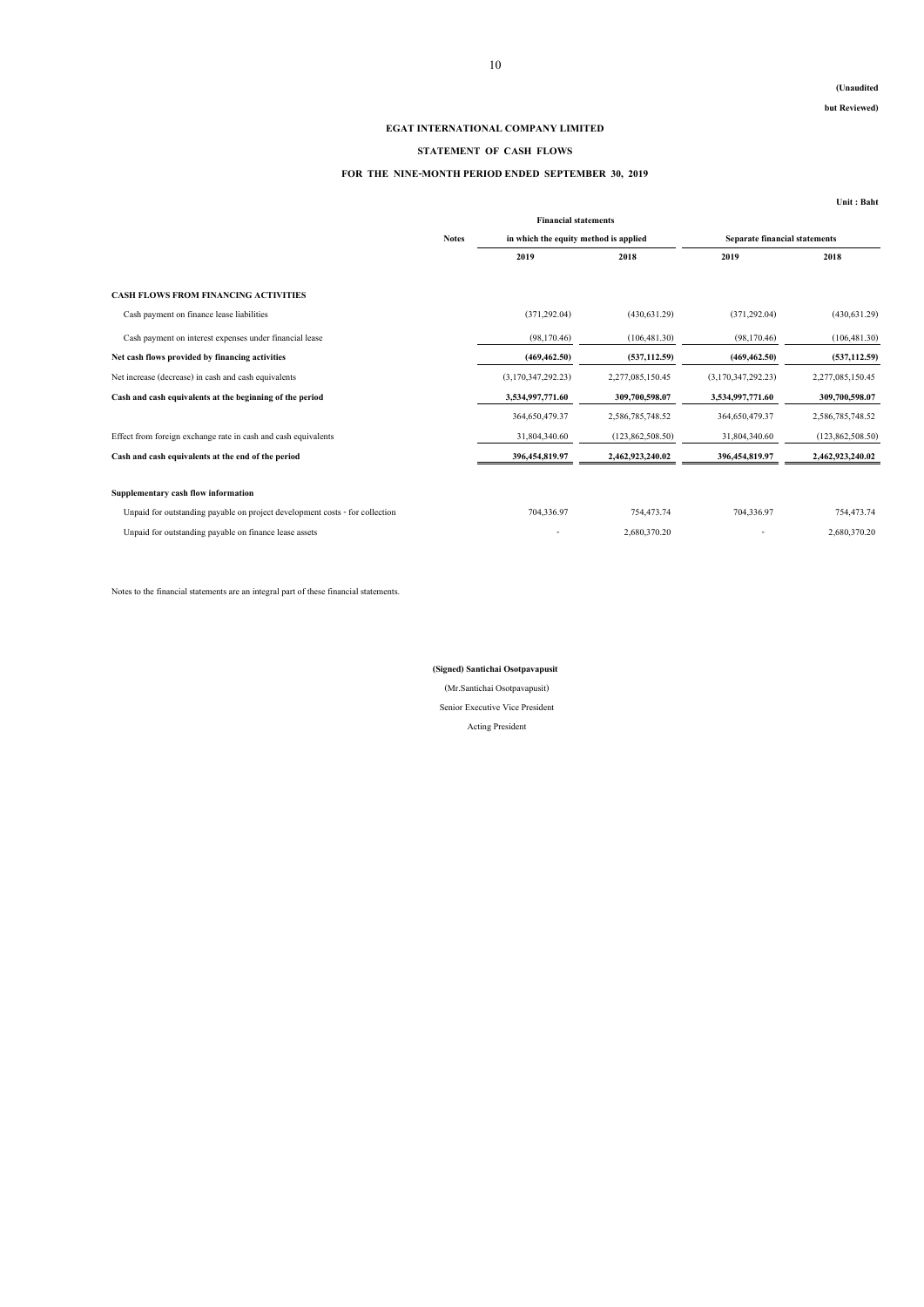## **(Unaudited**

**but Reviewed)**

**Unit : Baht**

|                                                                              |              | <b>Financial statements</b>           |                  |                                      |                  |  |
|------------------------------------------------------------------------------|--------------|---------------------------------------|------------------|--------------------------------------|------------------|--|
|                                                                              | <b>Notes</b> | in which the equity method is applied |                  | <b>Separate financial statements</b> |                  |  |
|                                                                              |              | 2019                                  | 2018             | 2019                                 | 2018             |  |
| <b>CASH FLOWS FROM FINANCING ACTIVITIES</b>                                  |              |                                       |                  |                                      |                  |  |
| Cash payment on finance lease liabilities                                    |              | (371, 292.04)                         | (430, 631.29)    | (371, 292.04)                        | (430,631.29)     |  |
| Cash payment on interest expenses under financial lease                      |              | (98,170.46)                           | (106, 481.30)    | (98,170.46)                          | (106, 481.30)    |  |
| Net cash flows provided by financing activities                              |              | (469, 462.50)                         | (537, 112.59)    | (469, 462.50)                        | (537, 112.59)    |  |
| Net increase (decrease) in cash and cash equivalents                         |              | (3,170,347,292.23)                    | 2,277,085,150.45 | (3,170,347,292.23)                   | 2,277,085,150.45 |  |
| Cash and cash equivalents at the beginning of the period                     |              | 3,534,997,771.60                      | 309,700,598.07   | 3,534,997,771.60                     | 309,700,598.07   |  |
|                                                                              |              | 364,650,479.37                        | 2,586,785,748.52 | 364,650,479.37                       | 2,586,785,748.52 |  |
| Effect from foreign exchange rate in cash and cash equivalents               |              | 31,804,340.60                         | (123,862,508.50) | 31,804,340.60                        | (123,862,508.50) |  |
| Cash and cash equivalents at the end of the period                           |              | 396,454,819.97                        | 2,462,923,240.02 | 396,454,819.97                       | 2,462,923,240.02 |  |
| Supplementary cash flow information                                          |              |                                       |                  |                                      |                  |  |
| Unpaid for outstanding payable on project development costs - for collection |              | 704,336.97                            | 754,473.74       | 704,336.97                           | 754,473.74       |  |
| Unpaid for outstanding payable on finance lease assets                       |              |                                       | 2,680,370.20     |                                      | 2,680,370.20     |  |

Notes to the financial statements are an integral part of these financial statements.

## **EGAT INTERNATIONAL COMPANY LIMITED**

## **STATEMENT OF CASH FLOWS**

# **FOR THE NINE-MONTH PERIOD ENDED SEPTEMBER 30, 2019**

Senior Executive Vice President

Acting President

(Mr.Santichai Osotpavapusit)

# **(Signed) Santichai Osotpavapusit**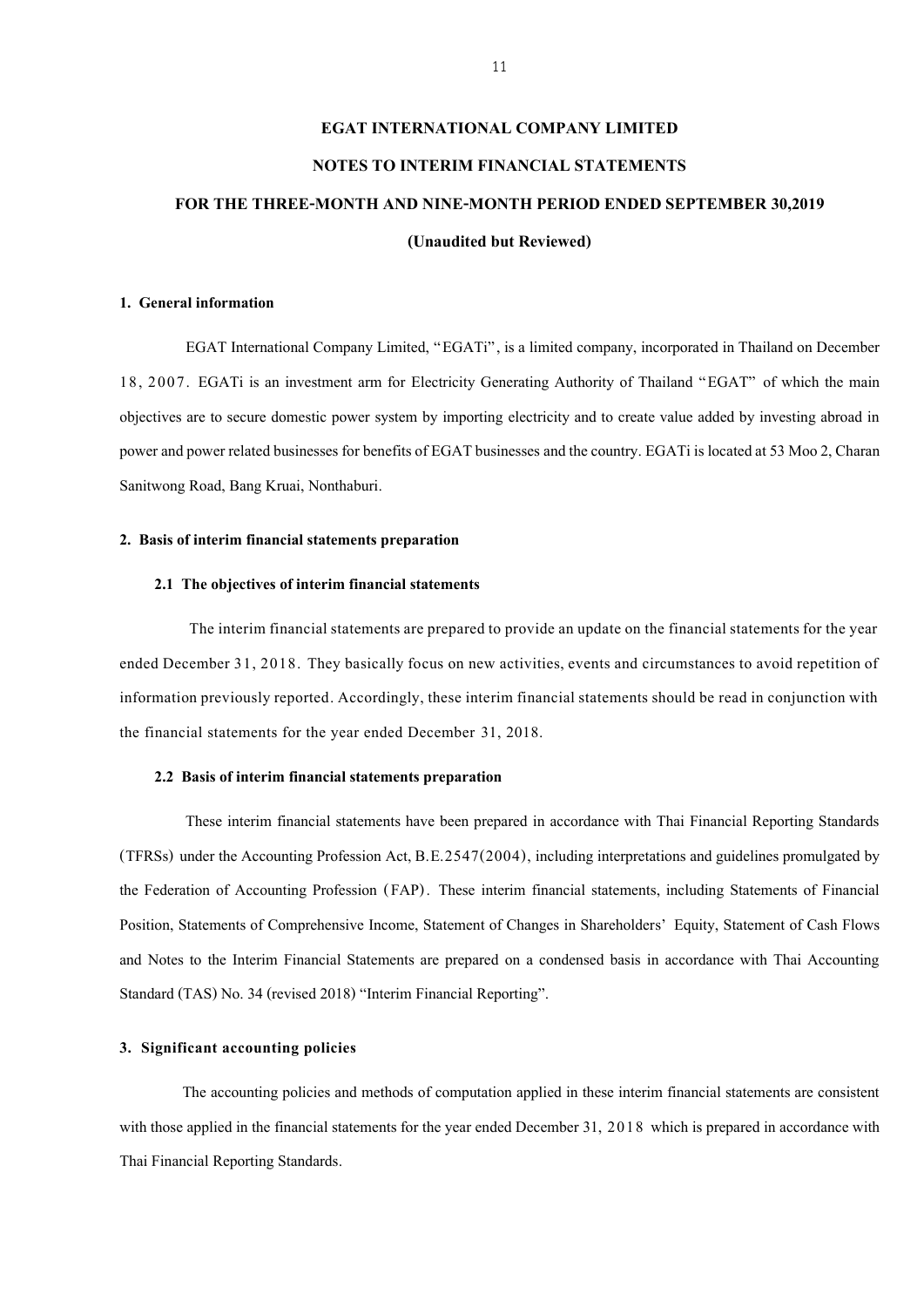# **EGAT INTERNATIONAL COMPANY LIMITED NOTES TO INTERIM FINANCIAL STATEMENTS FOR THE THREE-MONTH AND NINE-MONTH PERIOD ENDED SEPTEMBER 30,2019 (Unaudited but Reviewed)**

#### **1. General information**

EGAT International Company Limited, "EGATi", is a limited company, incorporated in Thailand on December 18, 2007. EGATi is an investment arm for Electricity Generating Authority of Thailand "EGAT" of which the main objectives are to secure domestic power system by importing electricity and to create value added by investing abroad in power and power related businesses for benefits of EGAT businesses and the country. EGATi is located at 53 Moo 2, Charan Sanitwong Road, Bang Kruai, Nonthaburi.

#### **2. Basis of interim financial statements preparation**

#### **2.1 The objectives of interim financial statements**

The interim financial statements are prepared to provide an update on the financial statements for the year ended December 31, 2018. They basically focus on new activities, events and circumstances to avoid repetition of information previously reported. Accordingly, these interim financial statements should be read in conjunction with the financial statements for the year ended December 31, 2018.

#### **2.2 Basis of interim financial statements preparation**

These interim financial statements have been prepared in accordance with Thai Financial Reporting Standards (TFRSs) under the Accounting Profession Act, B.E.2547(2004), including interpretations and guidelines promulgated by the Federation of Accounting Profession (FAP) . These interim financial statements, including Statements of Financial Position, Statements of Comprehensive Income, Statement of Changes in Shareholders' Equity, Statement of Cash Flows and Notes to the Interim Financial Statements are prepared on a condensed basis in accordance with Thai Accounting Standard (TAS) No. 34 (revised 2018) "Interim Financial Reporting".

#### **3. Significant accounting policies**

The accounting policies and methods of computation applied in these interim financial statements are consistent with those applied in the financial statements for the year ended December 31, 2018 which is prepared in accordance with Thai Financial Reporting Standards.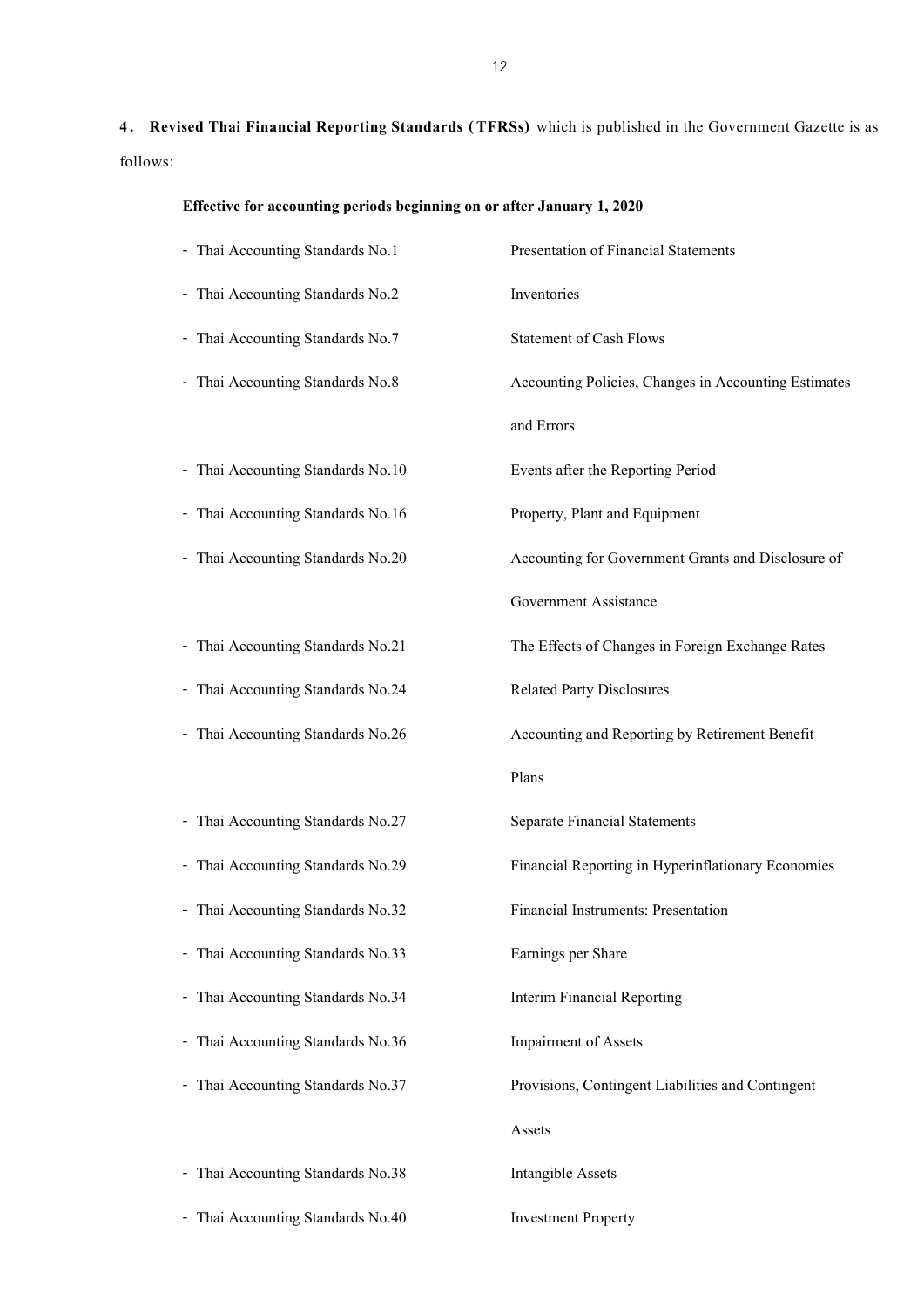**4 . Revised Thai Financial Reporting Standards ( TFRSs)** which is published in the Government Gazette is as follows:

| Effective for accounting periods beginning on or after January 1, 2020 |  |  |  |  |
|------------------------------------------------------------------------|--|--|--|--|
|                                                                        |  |  |  |  |

| - Thai Accounting Standards No.1                                | Presentation of Financial Statements                 |
|-----------------------------------------------------------------|------------------------------------------------------|
| - Thai Accounting Standards No.2                                | Inventories                                          |
| - Thai Accounting Standards No.7                                | <b>Statement of Cash Flows</b>                       |
| Thai Accounting Standards No.8<br>$\overline{\phantom{0}}$      | Accounting Policies, Changes in Accounting Estimates |
|                                                                 | and Errors                                           |
| - Thai Accounting Standards No.10                               | Events after the Reporting Period                    |
| Thai Accounting Standards No.16<br>-                            | Property, Plant and Equipment                        |
| Thai Accounting Standards No.20<br>$\overline{\phantom{a}}$     | Accounting for Government Grants and Disclosure of   |
|                                                                 | Government Assistance                                |
| - Thai Accounting Standards No.21                               | The Effects of Changes in Foreign Exchange Rates     |
| - Thai Accounting Standards No.24                               | <b>Related Party Disclosures</b>                     |
| - Thai Accounting Standards No.26                               | Accounting and Reporting by Retirement Benefit       |
|                                                                 | Plans                                                |
| - Thai Accounting Standards No.27                               | <b>Separate Financial Statements</b>                 |
| Thai Accounting Standards No.29<br>-                            | Financial Reporting in Hyperinflationary Economies   |
| - Thai Accounting Standards No.32                               | Financial Instruments: Presentation                  |
| - Thai Accounting Standards No.33                               | Earnings per Share                                   |
| Thai Accounting Standards No.34<br>$\qquad \qquad \blacksquare$ | <b>Interim Financial Reporting</b>                   |
| Thai Accounting Standards No.36<br>$\overline{\phantom{0}}$     | <b>Impairment</b> of Assets                          |
| Thai Accounting Standards No.37<br>$\overline{\phantom{a}}$     | Provisions, Contingent Liabilities and Contingent    |
|                                                                 | Assets                                               |
| Thai Accounting Standards No.38                                 | <b>Intangible Assets</b>                             |
| - Thai Accounting Standards No.40                               | <b>Investment Property</b>                           |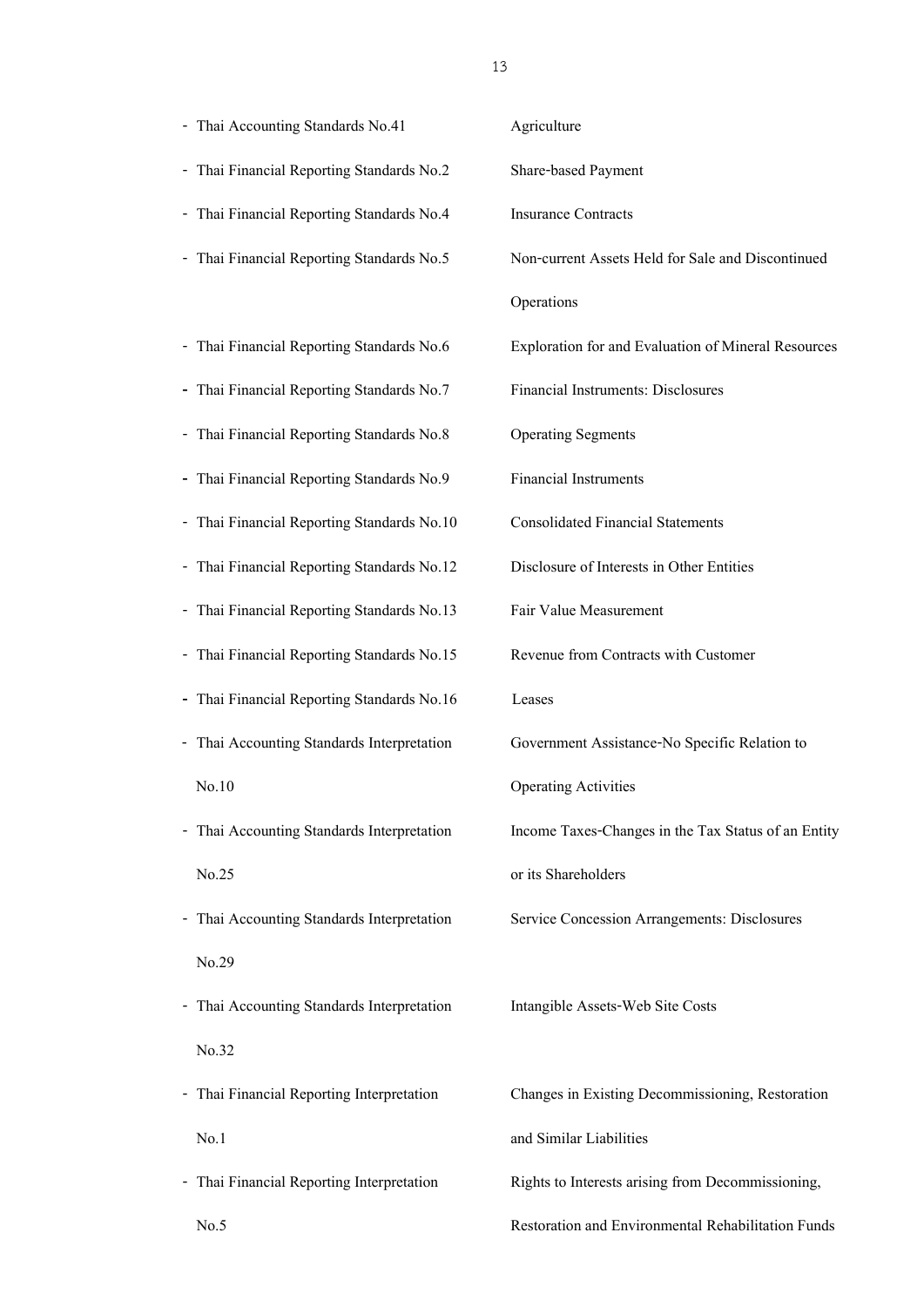| - Thai Accounting Standards No.41          | Agriculture                                         |
|--------------------------------------------|-----------------------------------------------------|
| - Thai Financial Reporting Standards No.2  | Share-based Payment                                 |
| - Thai Financial Reporting Standards No.4  | <b>Insurance Contracts</b>                          |
| - Thai Financial Reporting Standards No.5  | Non-current Assets Held for Sale and Discontinued   |
|                                            | Operations                                          |
| - Thai Financial Reporting Standards No.6  | Exploration for and Evaluation of Mineral Resources |
| - Thai Financial Reporting Standards No.7  | Financial Instruments: Disclosures                  |
| - Thai Financial Reporting Standards No.8  | <b>Operating Segments</b>                           |
| - Thai Financial Reporting Standards No.9  | <b>Financial Instruments</b>                        |
| - Thai Financial Reporting Standards No.10 | <b>Consolidated Financial Statements</b>            |
| - Thai Financial Reporting Standards No.12 | Disclosure of Interests in Other Entities           |
| - Thai Financial Reporting Standards No.13 | Fair Value Measurement                              |
| - Thai Financial Reporting Standards No.15 | Revenue from Contracts with Customer                |
|                                            |                                                     |
| - Thai Financial Reporting Standards No.16 | Leases                                              |
| - Thai Accounting Standards Interpretation | Government Assistance-No Specific Relation to       |
| No.10                                      | <b>Operating Activities</b>                         |
| - Thai Accounting Standards Interpretation | Income Taxes-Changes in the Tax Status of an Entity |
| No.25                                      | or its Shareholders                                 |
| - Thai Accounting Standards Interpretation | Service Concession Arrangements: Disclosures        |
| No.29                                      |                                                     |
| - Thai Accounting Standards Interpretation | Intangible Assets-Web Site Costs                    |
| No.32                                      |                                                     |
| - Thai Financial Reporting Interpretation  | Changes in Existing Decommissioning, Restoration    |
| No.1                                       | and Similar Liabilities                             |
| - Thai Financial Reporting Interpretation  | Rights to Interests arising from Decommissioning,   |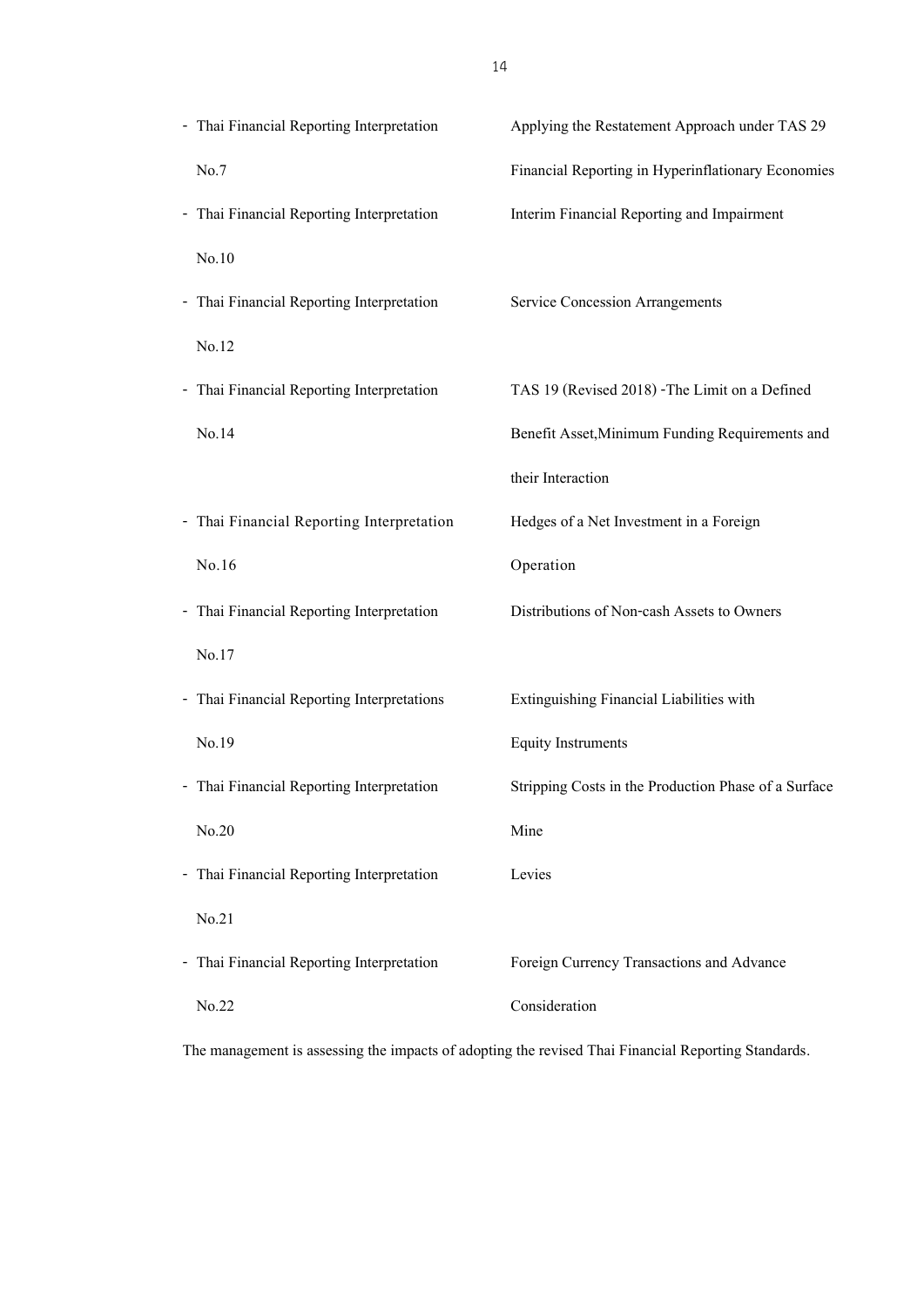| - Thai Financial Reporting Interpretation  | Applying the Restatement Approach under TAS 29       |
|--------------------------------------------|------------------------------------------------------|
| No.7                                       | Financial Reporting in Hyperinflationary Economies   |
| - Thai Financial Reporting Interpretation  | Interim Financial Reporting and Impairment           |
| No.10                                      |                                                      |
| - Thai Financial Reporting Interpretation  | Service Concession Arrangements                      |
| No.12                                      |                                                      |
| - Thai Financial Reporting Interpretation  | TAS 19 (Revised 2018) -The Limit on a Defined        |
| No.14                                      | Benefit Asset, Minimum Funding Requirements and      |
|                                            | their Interaction                                    |
| - Thai Financial Reporting Interpretation  | Hedges of a Net Investment in a Foreign              |
| No.16                                      | Operation                                            |
| - Thai Financial Reporting Interpretation  | Distributions of Non-cash Assets to Owners           |
| No.17                                      |                                                      |
| - Thai Financial Reporting Interpretations | Extinguishing Financial Liabilities with             |
| No.19                                      | <b>Equity Instruments</b>                            |
| - Thai Financial Reporting Interpretation  | Stripping Costs in the Production Phase of a Surface |
| No.20                                      | Mine                                                 |
| - Thai Financial Reporting Interpretation  | Levies                                               |
| No.21                                      |                                                      |
| - Thai Financial Reporting Interpretation  | Foreign Currency Transactions and Advance            |
| No.22                                      | Consideration                                        |
|                                            |                                                      |

The management is assessing the impacts of adopting the revised Thai Financial Reporting Standards.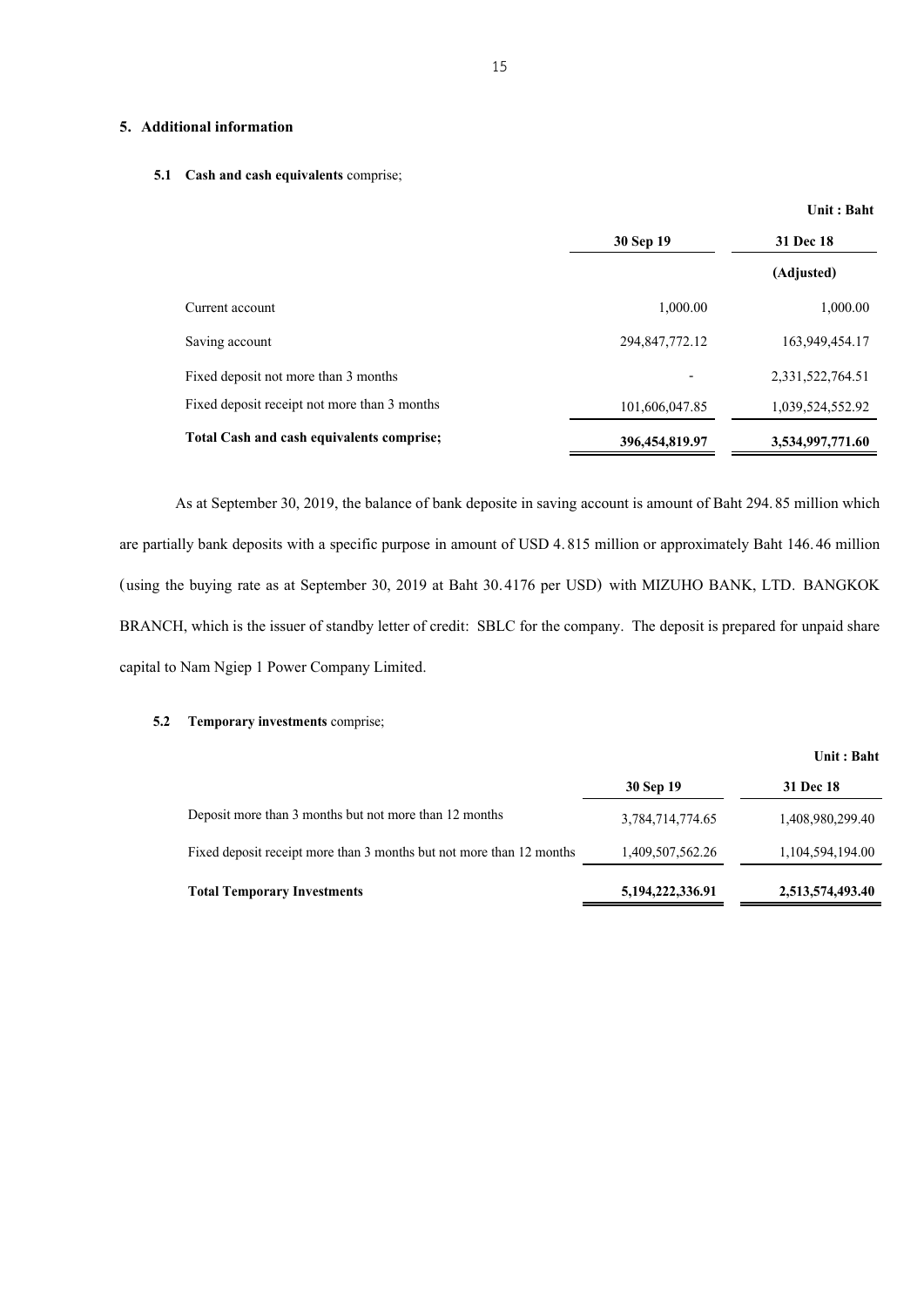#### **5. Additional information**

#### **5.1 Cash and cash equivalents** comprise;

|                                              | 30 Sep 19      | 31 Dec 18        |  |
|----------------------------------------------|----------------|------------------|--|
|                                              |                | (Adjusted)       |  |
| Current account                              | 1,000.00       | 1,000.00         |  |
| Saving account                               | 294,847,772.12 | 163,949,454.17   |  |
| Fixed deposit not more than 3 months         | -              | 2,331,522,764.51 |  |
| Fixed deposit receipt not more than 3 months | 101,606,047.85 | 1,039,524,552.92 |  |
| Total Cash and cash equivalents comprise;    | 396,454,819.97 | 3,534,997,771.60 |  |

As at September 30, 2019, the balance of bank deposite in saving account is amount of Baht 294.85 million which are partially bank deposits with a specific purpose in amount of USD 4.815 million or approximately Baht 146.46 million (using the buying rate as at September 30, 2019 at Baht 30.4176 per USD) with MIZUHO BANK, LTD. BANGKOK BRANCH, which is the issuer of standby letter of credit: SBLC for the company. The deposit is prepared for unpaid share capital to Nam Ngiep 1 Power Company Limited.

#### **5.2 Temporary investments** comprise;

|                                                                      |                  | Unit: Baht       |
|----------------------------------------------------------------------|------------------|------------------|
|                                                                      | 30 Sep 19        | <b>31 Dec 18</b> |
| Deposit more than 3 months but not more than 12 months               | 3,784,714,774.65 | 1,408,980,299.40 |
| Fixed deposit receipt more than 3 months but not more than 12 months | 1,409,507,562.26 | 1,104,594,194.00 |
| <b>Total Temporary Investments</b>                                   | 5,194,222,336.91 | 2,513,574,493.40 |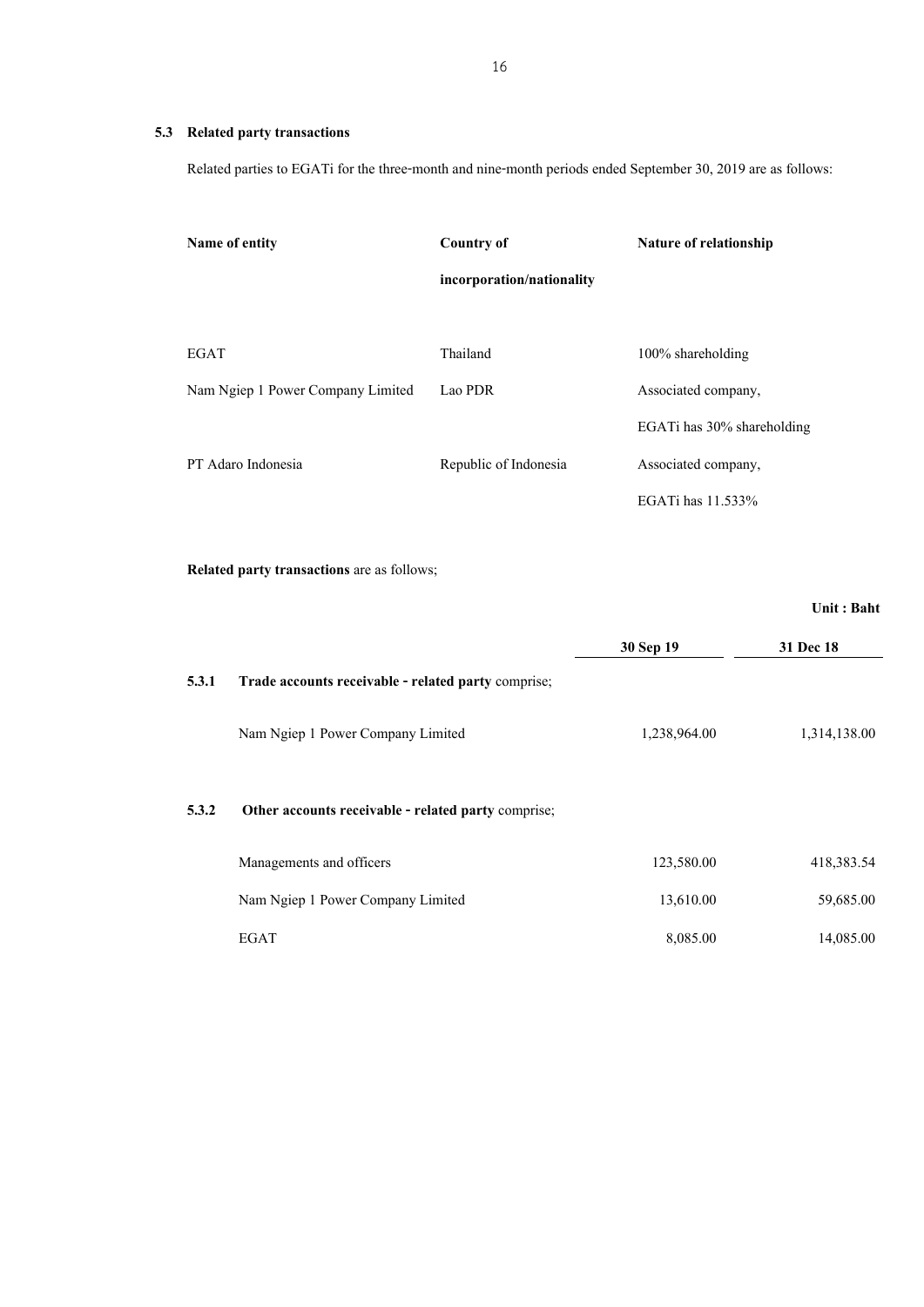#### **5.3 Related party transactions**

Related parties to EGATi for the three-month and nine-month periods ended September 30, 2019 are as follows:

| Name of entity                    | <b>Country of</b>         | Nature of relationship     |
|-----------------------------------|---------------------------|----------------------------|
|                                   | incorporation/nationality |                            |
|                                   |                           |                            |
| <b>EGAT</b>                       | Thailand                  | $100\%$ shareholding       |
| Nam Ngiep 1 Power Company Limited | Lao PDR                   | Associated company,        |
|                                   |                           | EGATi has 30% shareholding |
| PT Adaro Indonesia                | Republic of Indonesia     | Associated company,        |
|                                   |                           | EGATi has 11.533%          |

**Related party transactions** are as follows;

|       |                                                     |              | Unit: Baht   |
|-------|-----------------------------------------------------|--------------|--------------|
|       |                                                     | 30 Sep 19    | 31 Dec 18    |
| 5.3.1 | Trade accounts receivable - related party comprise; |              |              |
|       | Nam Ngiep 1 Power Company Limited                   | 1,238,964.00 | 1,314,138.00 |
| 5.3.2 | Other accounts receivable - related party comprise; |              |              |
|       | Managements and officers                            | 123,580.00   | 418,383.54   |
|       | Nam Ngiep 1 Power Company Limited                   | 13,610.00    | 59,685.00    |
|       | EGAT                                                | 8,085.00     | 14,085.00    |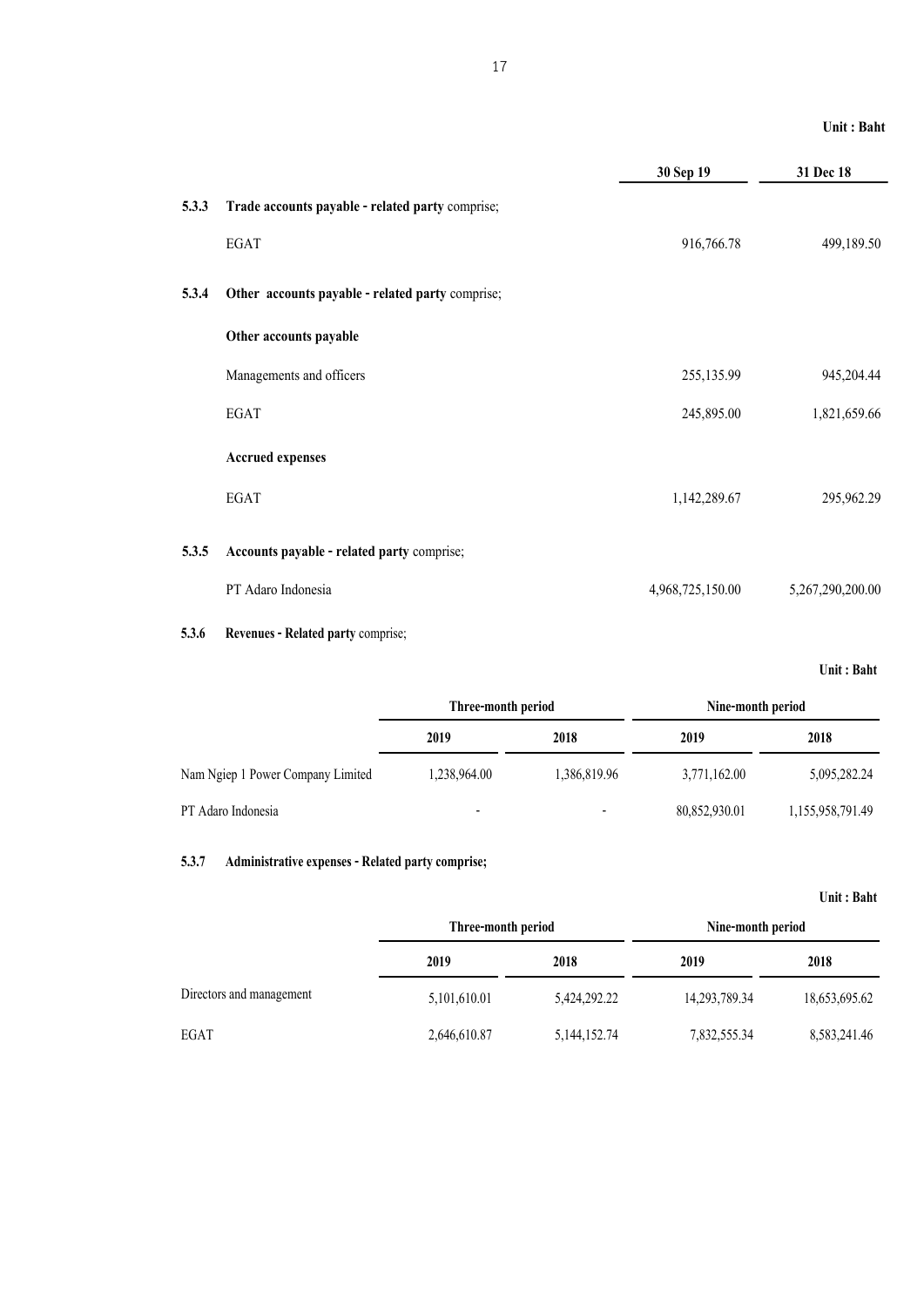|       |                                                  | 30 Sep 19        | 31 Dec 18        |
|-------|--------------------------------------------------|------------------|------------------|
| 5.3.3 | Trade accounts payable - related party comprise; |                  |                  |
|       | <b>EGAT</b>                                      | 916,766.78       | 499,189.50       |
| 5.3.4 | Other accounts payable - related party comprise; |                  |                  |
|       | Other accounts payable                           |                  |                  |
|       | Managements and officers                         | 255,135.99       | 945,204.44       |
|       | EGAT                                             | 245,895.00       | 1,821,659.66     |
|       | <b>Accrued expenses</b>                          |                  |                  |
|       | <b>EGAT</b>                                      | 1,142,289.67     | 295,962.29       |
| 5.3.5 | Accounts payable - related party comprise;       |                  |                  |
|       | PT Adaro Indonesia                               | 4,968,725,150.00 | 5,267,290,200.00 |
|       |                                                  |                  |                  |

#### **5.3.6 Revenues - Related party** comprise;

**Unit : Baht**

|                                   | Three-month period       |              | Nine-month period |                  |
|-----------------------------------|--------------------------|--------------|-------------------|------------------|
|                                   | 2019                     | 2018         | 2019              | 2018             |
| Nam Ngiep 1 Power Company Limited | 1,238,964.00             | 1,386,819.96 | 3,771,162.00      | 5,095,282.24     |
| PT Adaro Indonesia                | $\overline{\phantom{a}}$ |              | 80,852,930.01     | 1,155,958,791.49 |

#### **5.3.7 Administrative expenses - Related party comprise;**

|                          | Three-month period |                 | Nine-month period |               |
|--------------------------|--------------------|-----------------|-------------------|---------------|
|                          | 2019               | 2018            | 2019              | 2018          |
| Directors and management | 5,101,610.01       | 5,424,292,22    | 14,293,789.34     | 18,653,695.62 |
| EGAT                     | 2,646,610.87       | 5, 144, 152. 74 | 7,832,555.34      | 8,583,241.46  |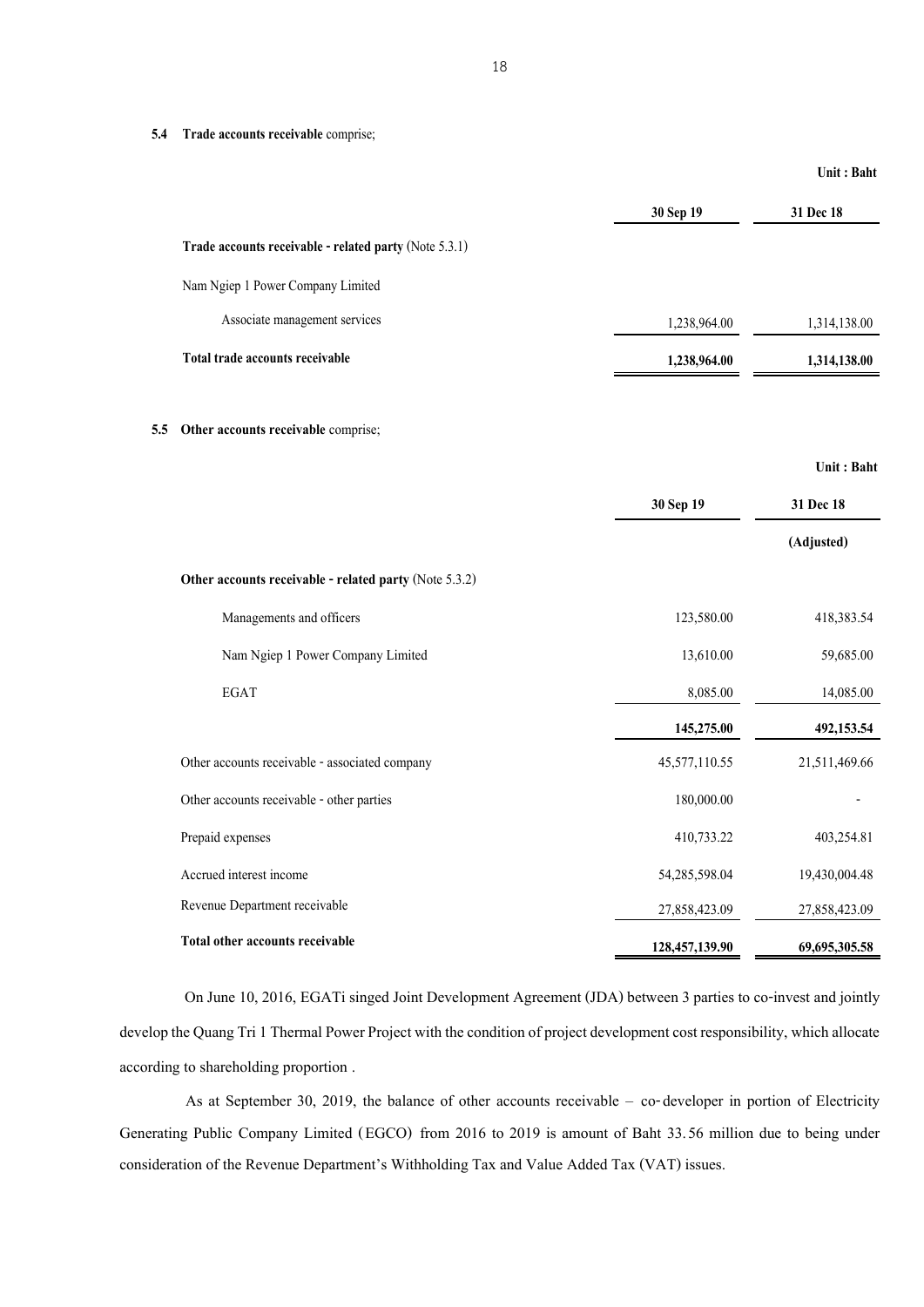**5.4 Trade accounts receivable** comprise;

|     |                                                        |                | Unit : Baht   |
|-----|--------------------------------------------------------|----------------|---------------|
|     |                                                        | 30 Sep 19      | 31 Dec 18     |
|     | Trade accounts receivable - related party (Note 5.3.1) |                |               |
|     | Nam Ngiep 1 Power Company Limited                      |                |               |
|     | Associate management services                          | 1,238,964.00   | 1,314,138.00  |
|     | Total trade accounts receivable                        | 1,238,964.00   | 1,314,138.00  |
| 5.5 | Other accounts receivable comprise;                    |                |               |
|     |                                                        |                | Unit: Baht    |
|     |                                                        | 30 Sep 19      | 31 Dec 18     |
|     |                                                        |                | (Adjusted)    |
|     | Other accounts receivable - related party (Note 5.3.2) |                |               |
|     | Managements and officers                               | 123,580.00     | 418,383.54    |
|     | Nam Ngiep 1 Power Company Limited                      | 13,610.00      | 59,685.00     |
|     | <b>EGAT</b>                                            | 8,085.00       | 14,085.00     |
|     |                                                        | 145,275.00     | 492,153.54    |
|     | Other accounts receivable - associated company         | 45,577,110.55  | 21,511,469.66 |
|     | Other accounts receivable - other parties              | 180,000.00     |               |
|     | Prepaid expenses                                       | 410,733.22     | 403,254.81    |
|     | Accrued interest income                                | 54,285,598.04  | 19,430,004.48 |
|     | Revenue Department receivable                          | 27,858,423.09  | 27,858,423.09 |
|     | Total other accounts receivable                        | 128,457,139.90 | 69,695,305.58 |

On June 10, 2016, EGATi singed Joint Development Agreement (JDA) between 3 parties to co-invest and jointly develop the Quang Tri 1 Thermal Power Project with the condition of project development cost responsibility, which allocate according to shareholding proportion .

As at September 30, 2019, the balance of other accounts receivable – co-developer in portion of Electricity Generating Public Company Limited (EGCO) from 2016 to 2019 is amount of Baht 33.56 million due to being under consideration of the Revenue Department's Withholding Tax and Value Added Tax (VAT) issues.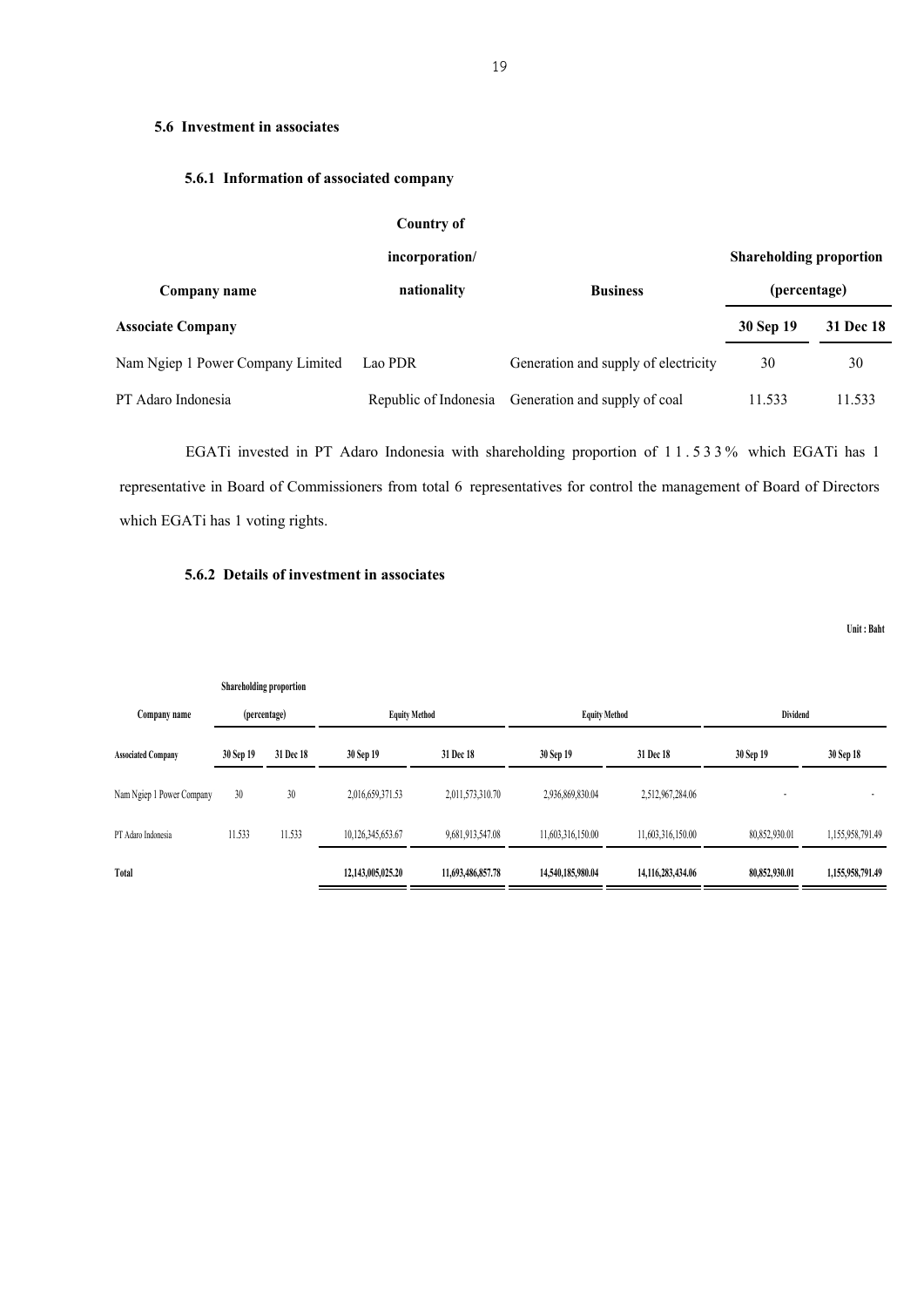#### **5.6 Investment in associates**

#### **5.6.1 Information of associated company**

|                                   | Country of            |                                      |                                |           |
|-----------------------------------|-----------------------|--------------------------------------|--------------------------------|-----------|
|                                   | incorporation/        |                                      | <b>Shareholding proportion</b> |           |
| Company name                      | nationality           | <b>Business</b>                      | (percentage)                   |           |
| <b>Associate Company</b>          |                       |                                      | 30 Sep 19                      | 31 Dec 18 |
| Nam Ngiep 1 Power Company Limited | Lao PDR               | Generation and supply of electricity | 30                             | 30        |
| PT Adaro Indonesia                | Republic of Indonesia | Generation and supply of coal        | 11.533                         | 11.533    |

EGATi invested in PT Adaro Indonesia with shareholding proportion of 1 1 . 5 3 3 % which EGATi has 1 representative in Board of Commissioners from total 6 representatives for control the management of Board of Directors which EGATi has 1 voting rights.

#### **5.6.2 Details of investment in associates**

|                           | Shareholding proportion |           |                      |                   |                      |                   |               |                  |
|---------------------------|-------------------------|-----------|----------------------|-------------------|----------------------|-------------------|---------------|------------------|
| Company name              | (percentage)            |           | <b>Equity Method</b> |                   | <b>Equity Method</b> |                   | Dividend      |                  |
| <b>Associated Company</b> | 30 Sep 19               | 31 Dec 18 | 30 Sep 19            | 31 Dec 18         | 30 Sep 19            | 31 Dec 18         | 30 Sep 19     | 30 Sep 18        |
| Nam Ngiep 1 Power Company | 30                      | 30        | 2,016,659,371.53     | 2,011,573,310.70  | 2,936,869,830.04     | 2,512,967,284.06  |               |                  |
| PT Adaro Indonesia        | 11.533                  | 11.533    | 10,126,345,653.67    | 9,681,913,547.08  | 11,603,316,150.00    | 11,603,316,150.00 | 80,852,930.01 | 1,155,958,791.49 |
| Total                     |                         |           | 12,143,005,025.20    | 11,693,486,857.78 | 14,540,185,980.04    | 14,116,283,434.06 | 80,852,930.01 | 1,155,958,791.49 |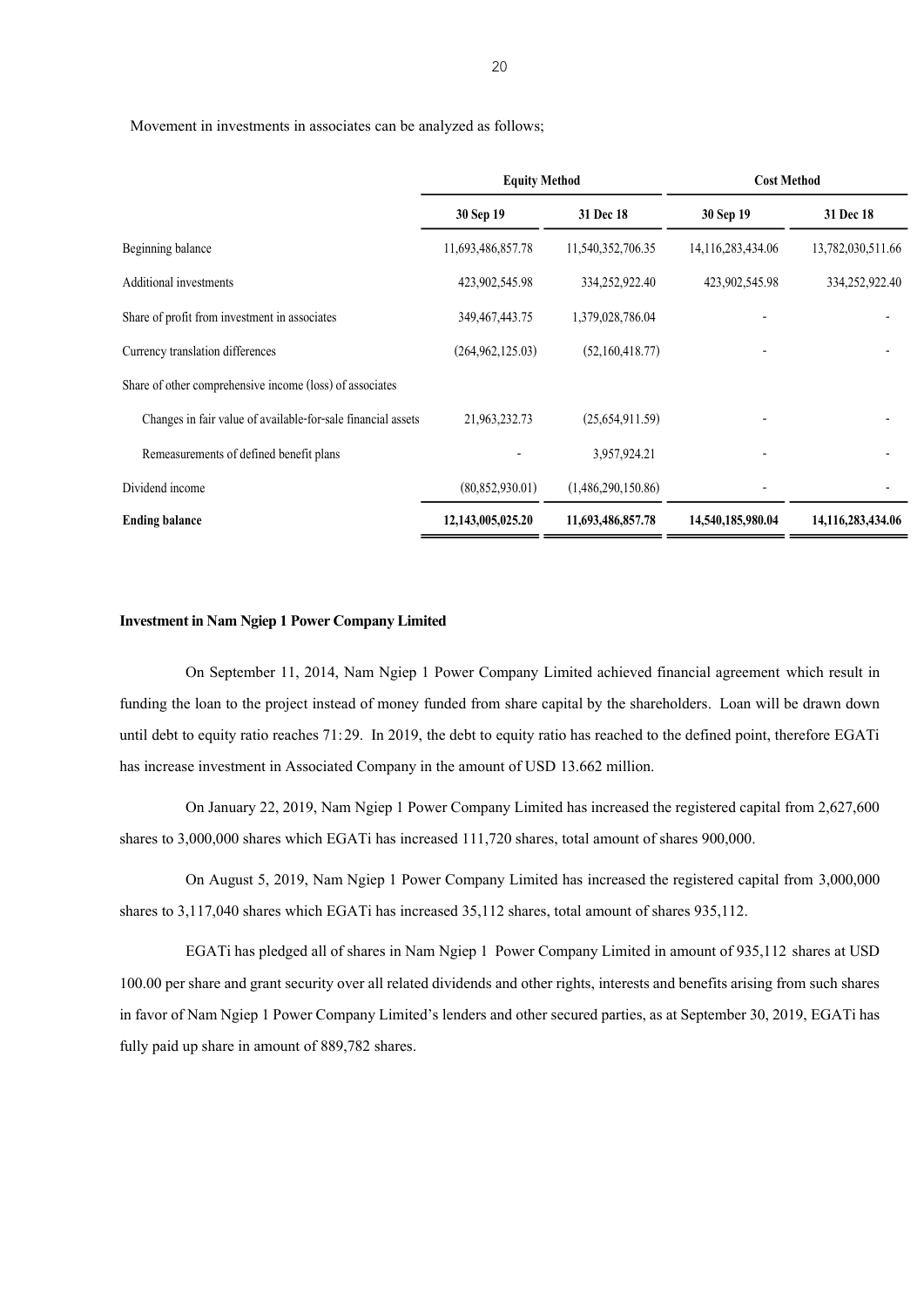Movement in investments in associates can be analyzed as follows;

|                                                              | <b>Equity Method</b> |                    | <b>Cost Method</b> |                   |
|--------------------------------------------------------------|----------------------|--------------------|--------------------|-------------------|
|                                                              | 30 Sep 19            | 31 Dec 18          | 30 Sep 19          | 31 Dec 18         |
| Beginning balance                                            | 11,693,486,857.78    | 11,540,352,706.35  | 14,116,283,434.06  | 13,782,030,511.66 |
| Additional investments                                       | 423,902,545.98       | 334,252,922.40     | 423,902,545.98     | 334,252,922.40    |
| Share of profit from investment in associates                | 349, 467, 443. 75    | 1,379,028,786.04   |                    |                   |
| Currency translation differences                             | (264, 962, 125.03)   | (52,160,418.77)    |                    |                   |
| Share of other comprehensive income (loss) of associates     |                      |                    |                    |                   |
| Changes in fair value of available-for-sale financial assets | 21,963,232.73        | (25,654,911.59)    |                    |                   |
| Remeasurements of defined benefit plans                      |                      | 3,957,924.21       |                    |                   |
| Dividend income                                              | (80, 852, 930.01)    | (1,486,290,150.86) |                    |                   |
| <b>Ending balance</b>                                        | 12,143,005,025.20    | 11,693,486,857.78  | 14,540,185,980.04  | 14,116,283,434.06 |

#### **Investment in Nam Ngiep 1 Power Company Limited**

On September 11, 2014, Nam Ngiep 1 Power Company Limited achieved financial agreement which result in funding the loan to the project instead of money funded from share capital by the shareholders. Loan will be drawn down until debt to equity ratio reaches 71:29. In 2019, the debt to equity ratio has reached to the defined point, therefore EGATi has increase investment in Associated Company in the amount of USD 13.662 million.

On January 22, 2019, Nam Ngiep 1 Power Company Limited has increased the registered capital from 2,627,600 shares to 3,000,000 shares which EGATi has increased 111,720 shares, total amount of shares 900,000.

On August 5, 2019, Nam Ngiep 1 Power Company Limited has increased the registered capital from 3,000,000 shares to 3,117,040 shares which EGATi has increased 35,112 shares, total amount of shares 935,112.

EGATi has pledged all of shares in Nam Ngiep 1 Power Company Limited in amount of 935,112 shares at USD 100.00 per share and grant security over all related dividends and other rights, interests and benefits arising from such shares in favor of Nam Ngiep 1 Power Company Limited's lenders and other secured parties, as at September 30, 2019, EGATi has fully paid up share in amount of 889,782 shares.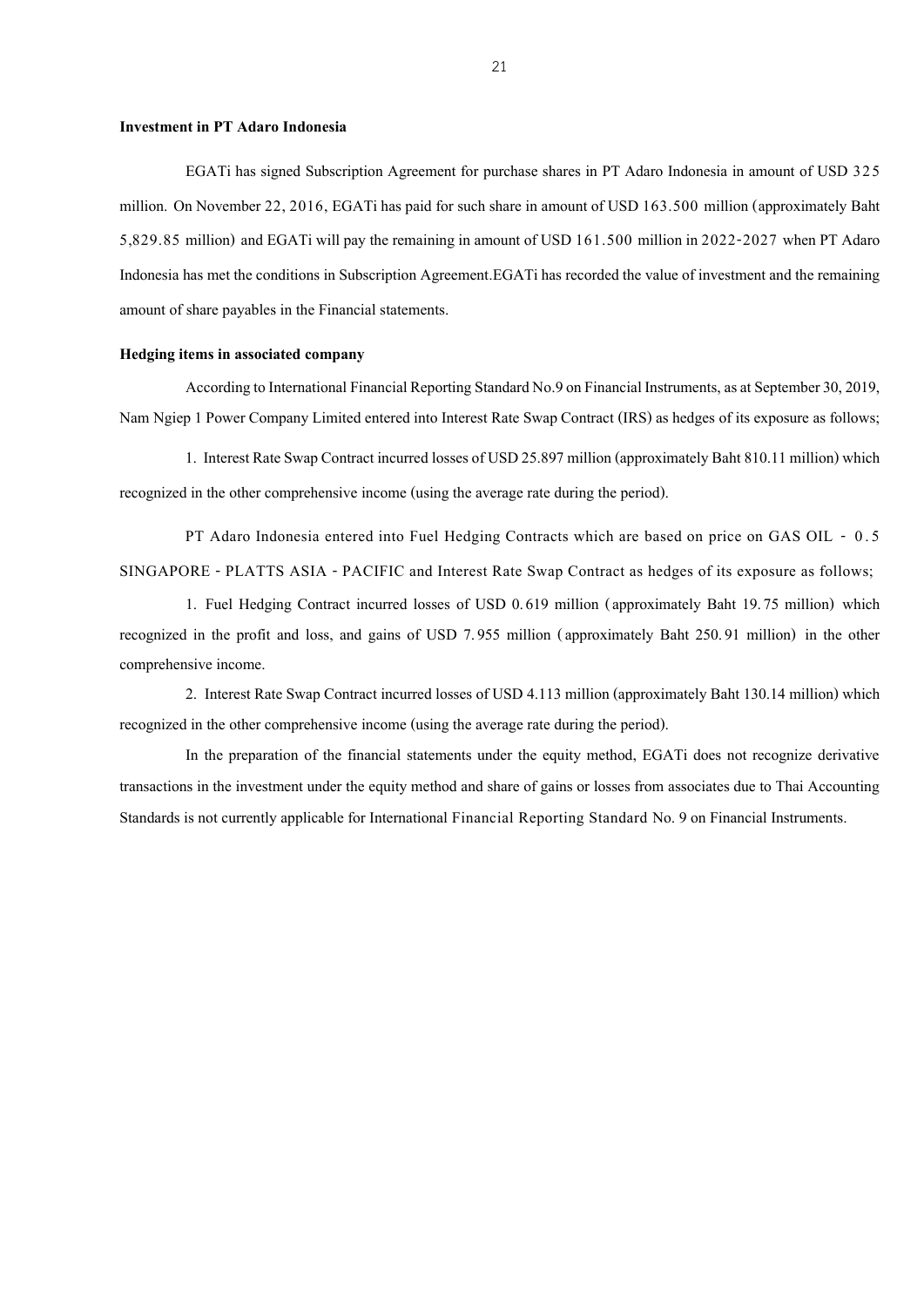#### **Investment in PT Adaro Indonesia**

EGATi has signed Subscription Agreement for purchase shares in PT Adaro Indonesia in amount of USD 325 million. On November 22, 2016, EGATi has paid for such share in amount of USD 163.500 million (approximately Baht 5,829.85 million) and EGATi will pay the remaining in amount of USD 161.500 million in 2022-2027 when PT Adaro Indonesia has met the conditions in Subscription Agreement.EGATi has recorded the value of investment and the remaining amount of share payables in the Financial statements.

#### **Hedging items in associated company**

According to International Financial Reporting Standard No.9 on Financial Instruments, as at September30, 2019, Nam Ngiep 1 Power Company Limited entered into Interest Rate Swap Contract (IRS) as hedges of its exposure as follows;

1. Interest Rate Swap Contract incurred losses of USD 25.897 million (approximately Baht 810.11 million) which recognized in the other comprehensive income (using the average rate during the period).

PT Adaro Indonesia entered into Fuel Hedging Contracts which are based on price on GAS OIL - 0 . 5 SINGAPORE - PLATTS ASIA - PACIFIC and Interest Rate Swap Contract as hedges of its exposure as follows;

1. Fuel Hedging Contract incurred losses of USD 0.619 million (approximately Baht 19.75 million) which recognized in the profit and loss, and gains of USD 7.955 million (approximately Baht 250.91 million) in the other comprehensive income.

2. Interest Rate Swap Contract incurred losses of USD 4.113 million (approximately Baht 130.14 million) which recognized in the other comprehensive income (using the average rate during the period).

In the preparation of the financial statements under the equity method, EGATi does not recognize derivative transactions in the investment under the equity method and share of gains or losses from associates due to Thai Accounting Standards is not currently applicable for International Financial Reporting Standard No. 9 on Financial Instruments.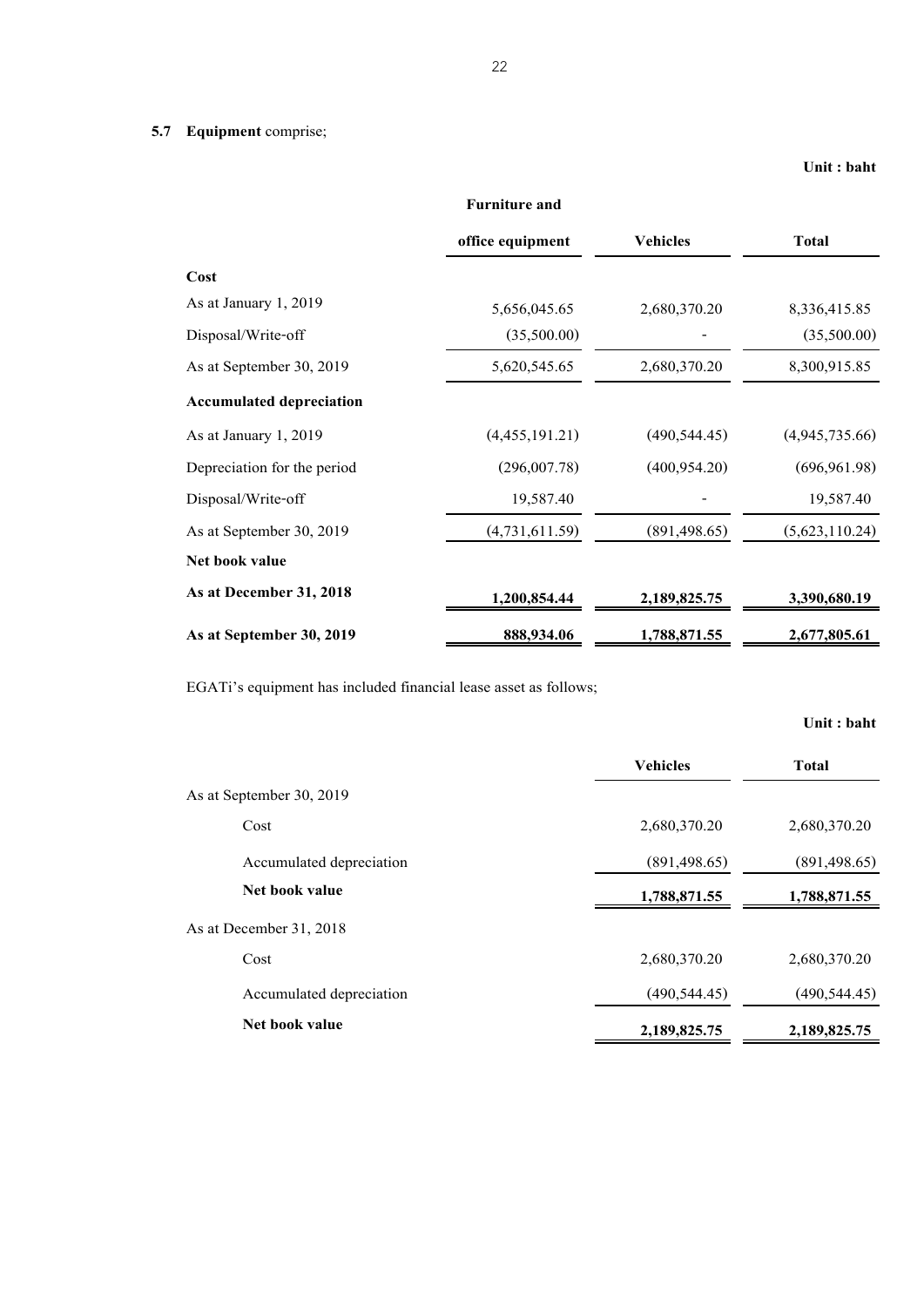|                                 | <b>Furniture and</b> |                 |                |
|---------------------------------|----------------------|-----------------|----------------|
|                                 | office equipment     | <b>Vehicles</b> | <b>Total</b>   |
| Cost                            |                      |                 |                |
| As at January 1, 2019           | 5,656,045.65         | 2,680,370.20    | 8,336,415.85   |
| Disposal/Write-off              | (35,500.00)          |                 | (35,500.00)    |
| As at September 30, 2019        | 5,620,545.65         | 2,680,370.20    | 8,300,915.85   |
| <b>Accumulated depreciation</b> |                      |                 |                |
| As at January 1, 2019           | (4,455,191.21)       | (490, 544.45)   | (4,945,735.66) |
| Depreciation for the period     | (296,007.78)         | (400, 954.20)   | (696, 961.98)  |
| Disposal/Write-off              | 19,587.40            |                 | 19,587.40      |
| As at September 30, 2019        | (4,731,611.59)       | (891, 498.65)   | (5,623,110.24) |
| Net book value                  |                      |                 |                |
| As at December 31, 2018         | 1,200,854.44         | 2,189,825.75    | 3,390,680.19   |
| As at September 30, 2019        | 888,934.06           | 1,788,871.55    | 2,677,805.61   |

EGATi's equipment has included financial lease asset as follows;

|                          |                 | Unit : baht   |
|--------------------------|-----------------|---------------|
|                          | <b>Vehicles</b> | <b>Total</b>  |
| As at September 30, 2019 |                 |               |
| Cost                     | 2,680,370.20    | 2,680,370.20  |
| Accumulated depreciation | (891, 498.65)   | (891, 498.65) |
| Net book value           | 1,788,871.55    | 1,788,871.55  |
| As at December 31, 2018  |                 |               |
| Cost                     | 2,680,370.20    | 2,680,370.20  |
| Accumulated depreciation | (490, 544.45)   | (490, 544.45) |
| Net book value           | 2,189,825.75    | 2,189,825.75  |
|                          |                 |               |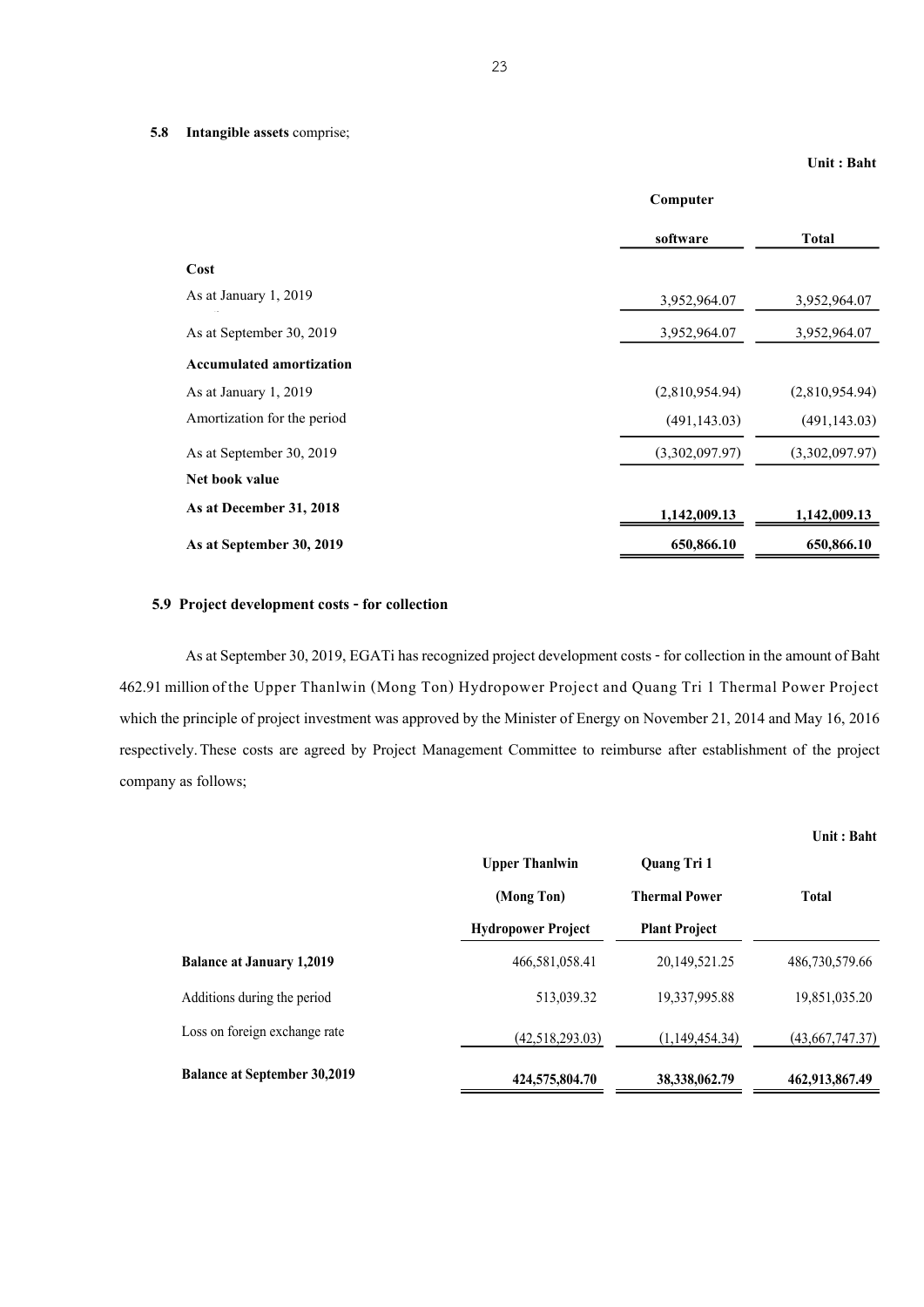|                                 | Computer       |                |
|---------------------------------|----------------|----------------|
|                                 | software       | <b>Total</b>   |
| Cost                            |                |                |
| As at January 1, 2019           | 3,952,964.07   | 3,952,964.07   |
| As at September 30, 2019        | 3,952,964.07   | 3,952,964.07   |
| <b>Accumulated amortization</b> |                |                |
| As at January 1, 2019           | (2,810,954.94) | (2,810,954.94) |
| Amortization for the period     | (491, 143.03)  | (491, 143.03)  |
| As at September 30, 2019        | (3,302,097.97) | (3,302,097.97) |
| Net book value                  |                |                |
| As at December 31, 2018         | 1,142,009.13   | 1,142,009.13   |
| As at September 30, 2019        | 650,866.10     | 650,866.10     |

#### **5.9 Project development costs - for collection**

As at September 30, 2019, EGATi has recognized project development costs - for collection in the amount of Baht 462.91 million of the Upper Thanlwin (Mong Ton) Hydropower Project and Quang Tri 1 Thermal Power Project which the principle of project investment was approved by the Minister of Energy on November 21, 2014 and May 16, 2016 respectively.These costs are agreed by Project Management Committee to reimburse after establishment of the project company as follows;

|                                     |                           |                      | Unit: Baht      |
|-------------------------------------|---------------------------|----------------------|-----------------|
|                                     | <b>Upper Thanlwin</b>     | <b>Quang Tri 1</b>   |                 |
|                                     | (Mong Ton)                | <b>Thermal Power</b> | <b>Total</b>    |
|                                     | <b>Hydropower Project</b> | <b>Plant Project</b> |                 |
| <b>Balance at January 1,2019</b>    | 466,581,058.41            | 20, 149, 521. 25     | 486,730,579.66  |
| Additions during the period         | 513,039.32                | 19,337,995.88        | 19,851,035.20   |
| Loss on foreign exchange rate       | (42,518,293,03)           | (1,149,454.34)       | (43,667,747.37) |
| <b>Balance at September 30,2019</b> | 424,575,804.70            | 38, 338, 062. 79     | 462,913,867.49  |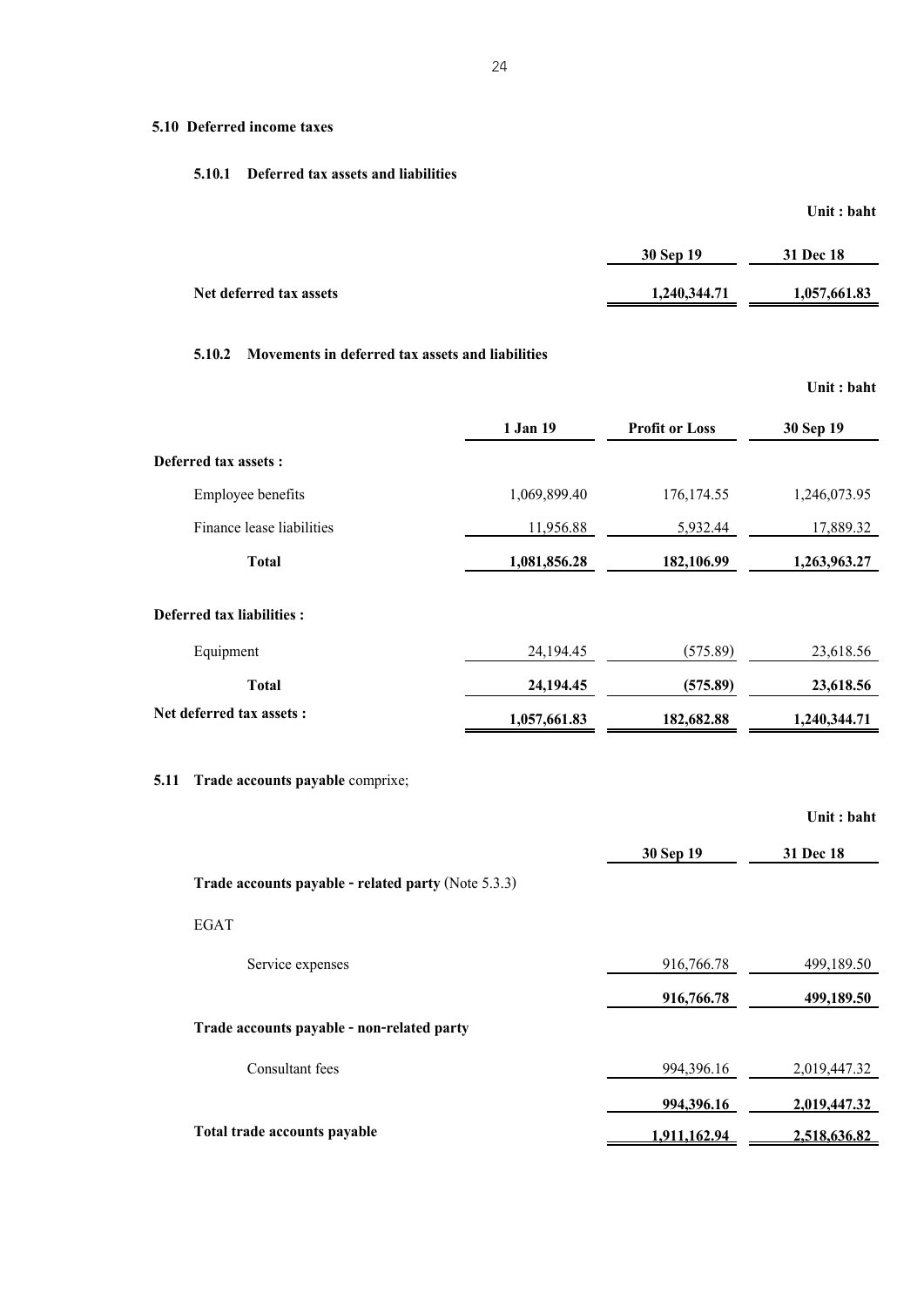#### **5.10 Deferred income taxes**

#### **5.10.1 Deferred tax assets and liabilities**

|                         | 30 Sep 19    | 31 Dec 18    |
|-------------------------|--------------|--------------|
| Net deferred tax assets | 1,240,344.71 | 1,057,661.83 |

**Unit : baht**

# **5.10.2 Movements in deferred tax assets and liabilities**

|                                                                                                               |              |                       | Unit: baht   |
|---------------------------------------------------------------------------------------------------------------|--------------|-----------------------|--------------|
|                                                                                                               | 1 Jan 19     | <b>Profit or Loss</b> | 30 Sep 19    |
| Deferred tax assets :                                                                                         |              |                       |              |
| Employee benefits                                                                                             | 1,069,899.40 | 176, 174.55           | 1,246,073.95 |
| Finance lease liabilities                                                                                     | 11,956.88    | 5,932.44              | 17,889.32    |
| <b>Total</b>                                                                                                  | 1,081,856.28 | 182,106.99            | 1,263,963.27 |
| Deferred tax liabilities:                                                                                     |              |                       |              |
| Equipment                                                                                                     | 24,194.45    | (575.89)              | 23,618.56    |
| <b>Total</b>                                                                                                  | 24,194.45    | (575.89)              | 23,618.56    |
| Net deferred tax assets:                                                                                      | 1,057,661.83 | 182,682.88            | 1,240,344.71 |
| Trade accounts payable comprixe;<br>5.11                                                                      |              |                       |              |
|                                                                                                               |              |                       | Unit: baht   |
|                                                                                                               |              | 30 Sep 19             | 31 Dec 18    |
| The decree of the set of $\mathbb{R}^n$ . The definition of $(\mathcal{M} \cup \mathcal{F} \cap \mathcal{D})$ |              |                       |              |

| Trade accounts payable - related party (Note 5.3.3) |              |              |
|-----------------------------------------------------|--------------|--------------|
| <b>EGAT</b>                                         |              |              |
| Service expenses                                    | 916,766.78   | 499,189.50   |
|                                                     | 916,766.78   | 499,189.50   |
| Trade accounts payable - non-related party          |              |              |
| Consultant fees                                     | 994,396.16   | 2,019,447.32 |
|                                                     | 994,396.16   | 2,019,447.32 |
| Total trade accounts payable                        | 1,911,162.94 | 2,518,636.82 |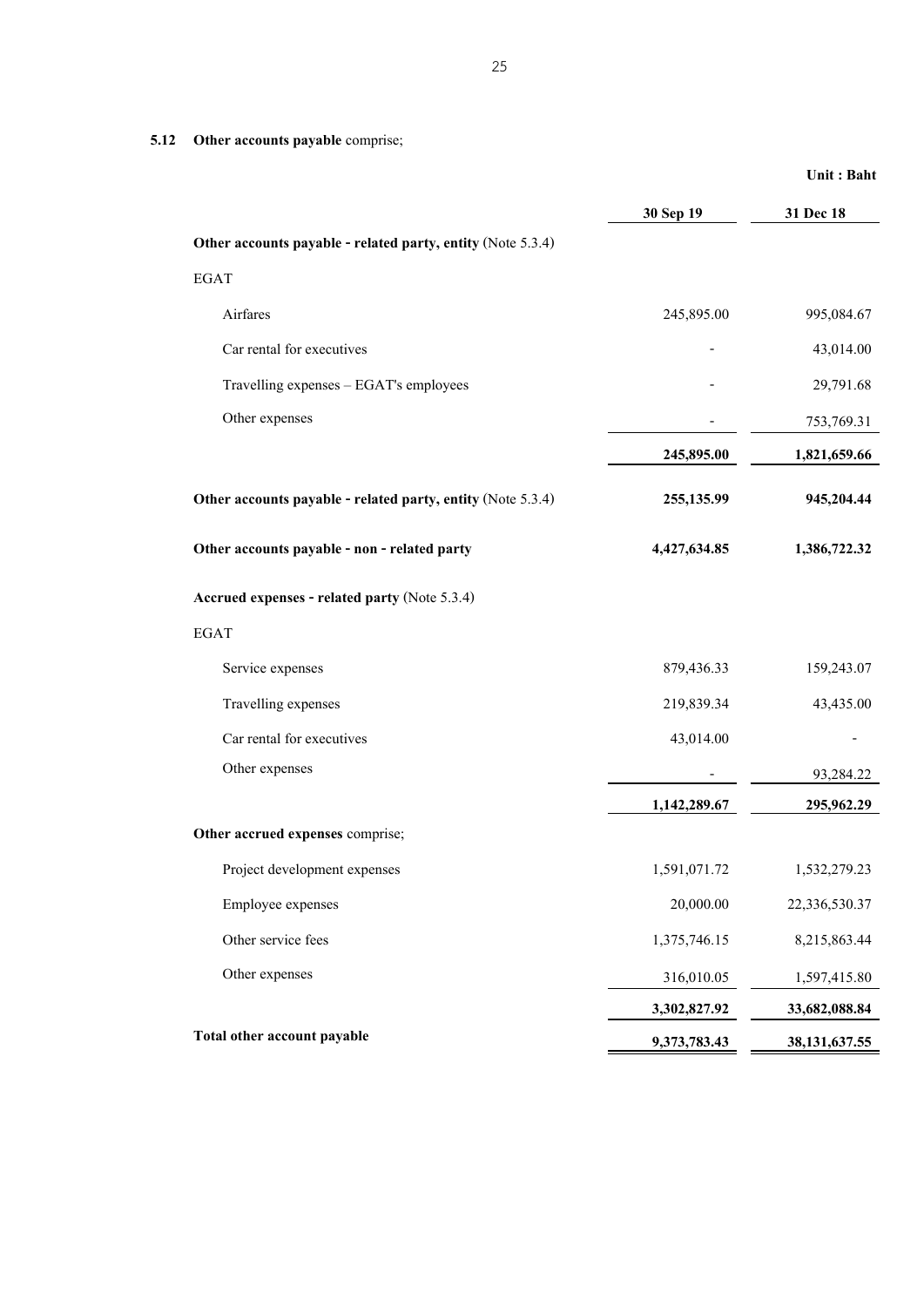**5.12 Other accounts payable** comprise;

|                                                             | 30 Sep 19    | 31 Dec 18        |
|-------------------------------------------------------------|--------------|------------------|
| Other accounts payable - related party, entity (Note 5.3.4) |              |                  |
| <b>EGAT</b>                                                 |              |                  |
| Airfares                                                    | 245,895.00   | 995,084.67       |
| Car rental for executives                                   |              | 43,014.00        |
| Travelling expenses - EGAT's employees                      |              | 29,791.68        |
| Other expenses                                              |              | 753,769.31       |
|                                                             | 245,895.00   | 1,821,659.66     |
| Other accounts payable - related party, entity (Note 5.3.4) | 255,135.99   | 945,204.44       |
| Other accounts payable - non - related party                | 4,427,634.85 | 1,386,722.32     |
| Accrued expenses - related party (Note 5.3.4)               |              |                  |
| <b>EGAT</b>                                                 |              |                  |
| Service expenses                                            | 879,436.33   | 159,243.07       |
| Travelling expenses                                         | 219,839.34   | 43,435.00        |
| Car rental for executives                                   | 43,014.00    |                  |
| Other expenses                                              |              | 93,284.22        |
|                                                             | 1,142,289.67 | 295,962.29       |
| Other accrued expenses comprise;                            |              |                  |
| Project development expenses                                | 1,591,071.72 | 1,532,279.23     |
| Employee expenses                                           | 20,000.00    | 22,336,530.37    |
| Other service fees                                          | 1,375,746.15 | 8,215,863.44     |
| Other expenses                                              | 316,010.05   | 1,597,415.80     |
|                                                             | 3,302,827.92 | 33,682,088.84    |
| Total other account payable                                 | 9,373,783.43 | 38, 131, 637. 55 |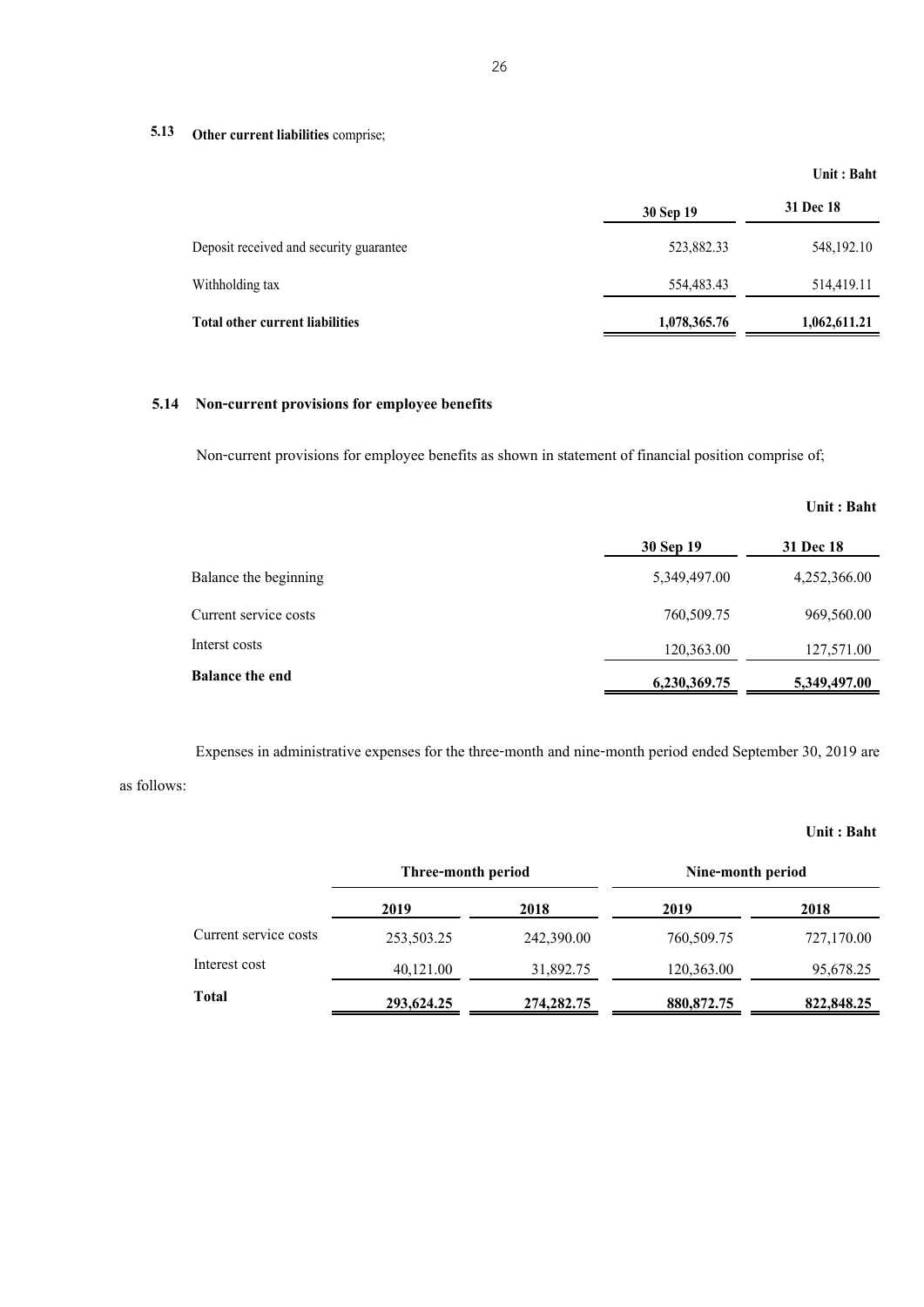# **5.13 Other current liabilities** comprise;

|                                         |              | Unit: Baht   |
|-----------------------------------------|--------------|--------------|
|                                         | 30 Sep 19    | 31 Dec 18    |
| Deposit received and security guarantee | 523,882.33   | 548, 192. 10 |
| Withholding tax                         | 554,483.43   | 514,419.11   |
| <b>Total other current liabilities</b>  | 1,078,365.76 | 1,062,611.21 |

### **5.14 Non-current provisions for employee benefits**

Non-current provisions for employee benefits as shown in statement of financial position comprise of;

|                        |              | Unit: Baht   |
|------------------------|--------------|--------------|
|                        | 30 Sep 19    | 31 Dec 18    |
| Balance the beginning  | 5,349,497.00 | 4,252,366.00 |
| Current service costs  | 760,509.75   | 969,560.00   |
| Interst costs          | 120,363.00   | 127,571.00   |
| <b>Balance the end</b> | 6,230,369.75 | 5,349,497.00 |

Expenses in administrative expenses for the three-month and nine-month period ended September 30, 2019 are as follows:

|                       | Three-month period |              | Nine-month period |            |
|-----------------------|--------------------|--------------|-------------------|------------|
|                       | 2019               | 2018         | 2019              | 2018       |
| Current service costs | 253,503.25         | 242,390.00   | 760,509.75        | 727,170.00 |
| Interest cost         | 40,121.00          | 31,892.75    | 120,363.00        | 95,678.25  |
| <b>Total</b>          | 293,624.25         | 274, 282, 75 | 880, 872. 75      | 822,848.25 |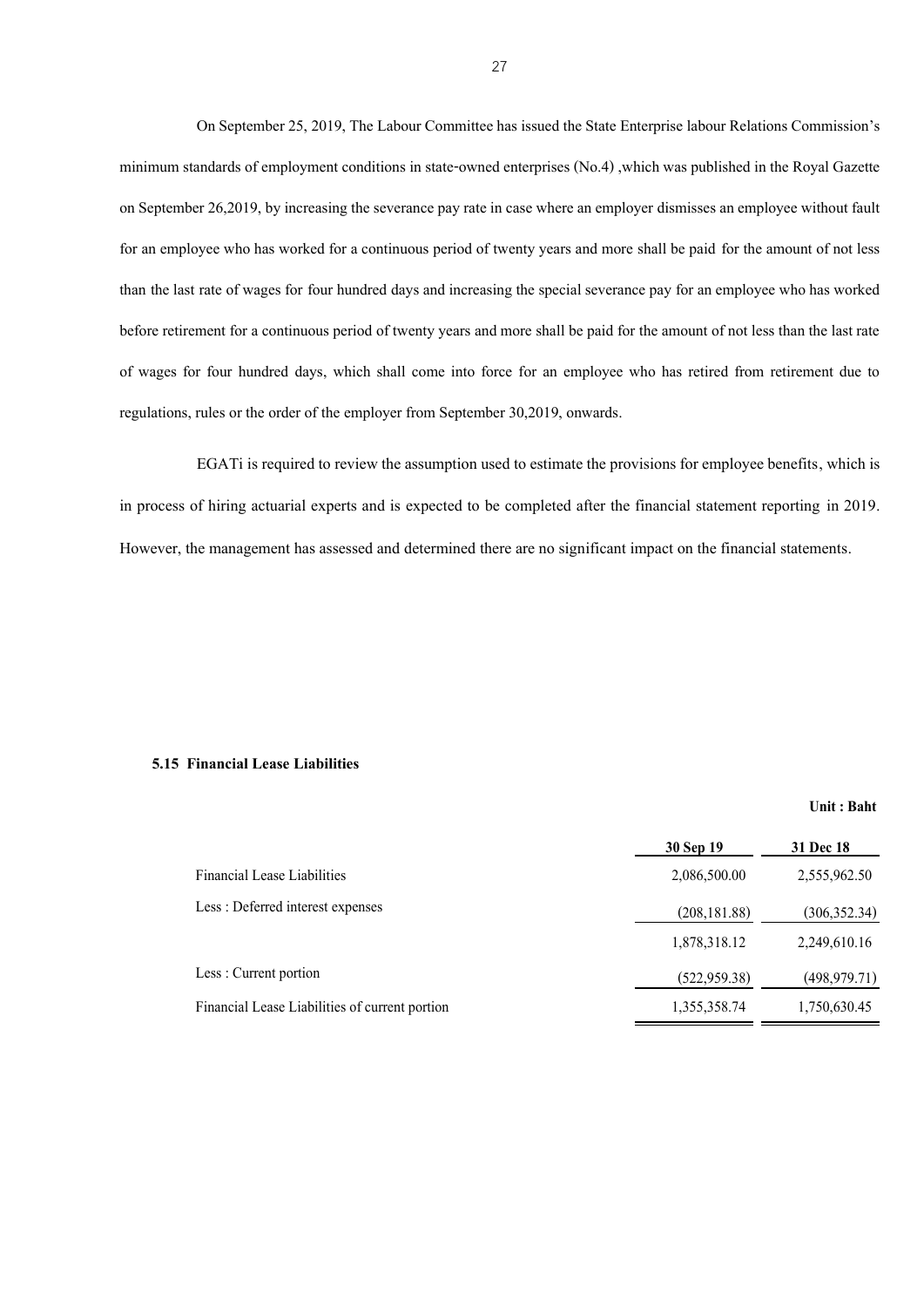On September 25, 2019, The Labour Committee has issued the State Enterprise labour Relations Commission's minimum standards of employment conditions in state-owned enterprises (No.4), which was published in the Royal Gazette on September 26,2019, by increasing the severance payrate in case where an employer dismisses an employee without fault for an employee who has worked for a continuous period of twenty years and more shall be paid for the amount of not less than the last rate of wages for four hundred days and increasing the special severance pay for an employee who has worked before retirement for a continuous period of twenty years and more shall be paid for the amount of not less than the last rate of wages for four hundred days, which shall come into force for an employee who has retired from retirement due to regulations, rules or the order of the employer from September 30,2019, onwards.

EGATi is required to review the assumption used to estimate the provisions for employee benefits, which is in process of hiring actuarial experts and is expected to be completed after the financial statement reporting in 2019. However, the management has assessed and determined there are no significant impact on the financial statements.

#### **5.15 Financial Lease Liabilities**

|                                                | 30 Sep 19     | <b>31 Dec 18</b> |
|------------------------------------------------|---------------|------------------|
| <b>Financial Lease Liabilities</b>             | 2,086,500.00  | 2,555,962.50     |
| Less: Deferred interest expenses               | (208, 181.88) | (306, 352.34)    |
|                                                | 1,878,318.12  | 2,249,610.16     |
| Less: Current portion                          | (522, 959.38) | (498, 979.71)    |
| Financial Lease Liabilities of current portion | 1,355,358.74  | 1,750,630.45     |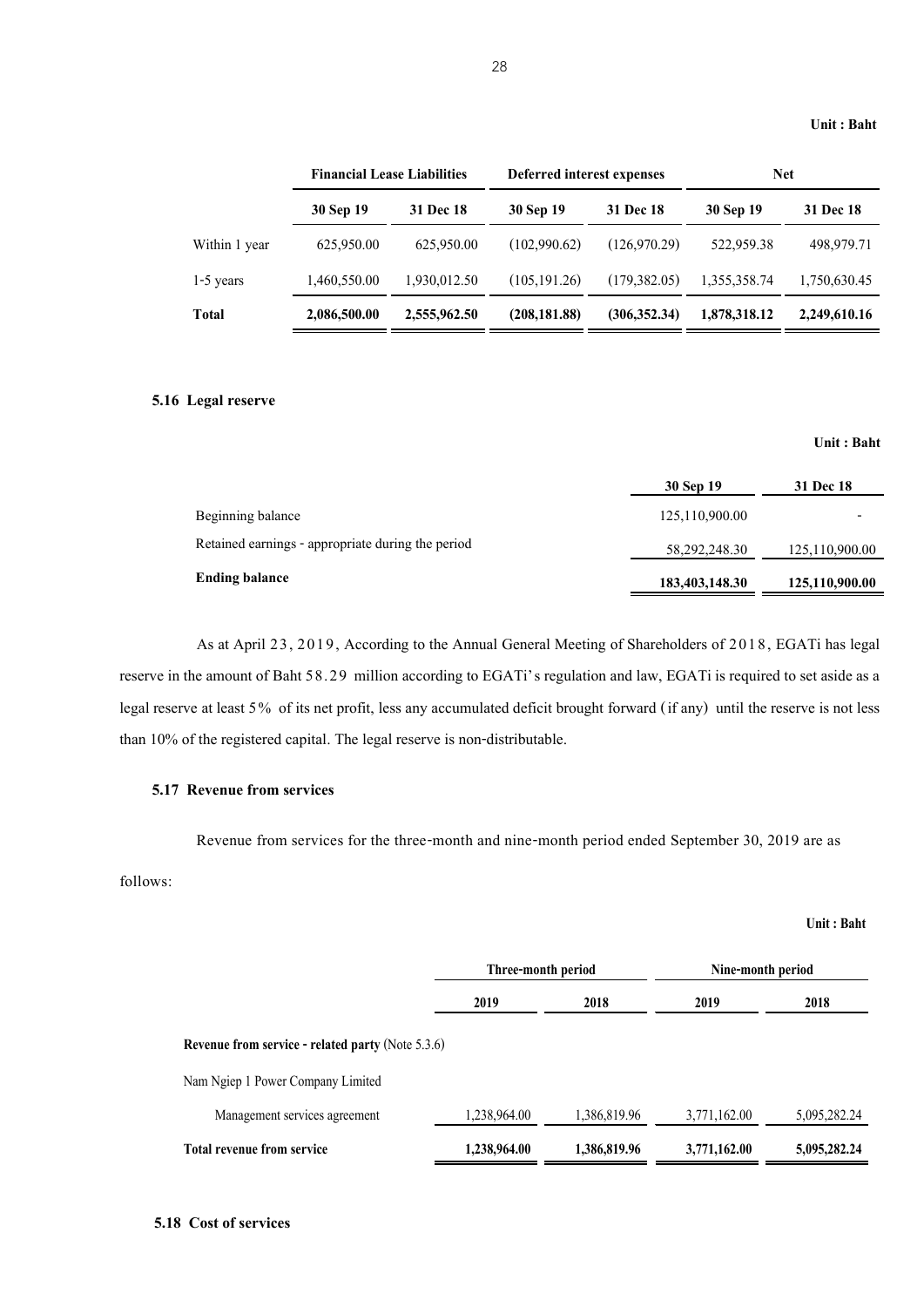|               | <b>Financial Lease Liabilities</b> |                  | Deferred interest expenses |                  | <b>Net</b>   |                  |
|---------------|------------------------------------|------------------|----------------------------|------------------|--------------|------------------|
|               | 30 Sep 19                          | <b>31 Dec 18</b> | 30 Sep 19                  | <b>31 Dec 18</b> | 30 Sep 19    | <b>31 Dec 18</b> |
| Within 1 year | 625,950.00                         | 625,950.00       | (102,990.62)               | (126.970.29)     | 522,959.38   | 498,979.71       |
| $1-5$ years   | 1,460,550.00                       | 1,930,012.50     | (105, 191, 26)             | (179, 382, 05)   | 1,355,358.74 | 1,750,630.45     |
| Total         | 2,086,500.00                       | 2,555,962.50     | (208, 181.88)              | (306, 352, 34)   | 1,878,318.12 | 2,249,610.16     |

#### **5.16 Legal reserve**

#### **Unit : Baht**

**Unit : Baht**

|                                                   | 30 Sep 19      | 31 Dec 18      |
|---------------------------------------------------|----------------|----------------|
| Beginning balance                                 | 125,110,900.00 |                |
| Retained earnings - appropriate during the period | 58,292,248.30  | 125,110,900.00 |
| Ending balance                                    | 183,403,148.30 | 125,110,900.00 |

As at April 23, 2019, According to the Annual General Meeting of Shareholders of 2018, EGATi has legal reserve in the amount of Baht 58.29 million according to EGATi's regulation and law, EGATi is required to set aside as a legal reserve at least 5% of its net profit, less any accumulated deficit brought forward (if any) until the reserve is not less than 10% of the registered capital. The legal reserve is non-distributable.

#### **5.17 Revenue from services**

Revenue from services for the three-month and nine-month period ended September 30, 2019 are as

#### follows:

|                                                          | Three-month period |              | Nine-month period |              |
|----------------------------------------------------------|--------------------|--------------|-------------------|--------------|
|                                                          | 2019               | 2018         | 2019              | 2018         |
| <b>Revenue from service - related party (Note 5.3.6)</b> |                    |              |                   |              |
| Nam Ngiep 1 Power Company Limited                        |                    |              |                   |              |
| Management services agreement                            | 1,238,964.00       | 1,386,819.96 | 3,771,162.00      | 5,095,282.24 |
| <b>Total revenue from service</b>                        | 1,238,964.00       | 1,386,819.96 | 3,771,162.00      | 5,095,282.24 |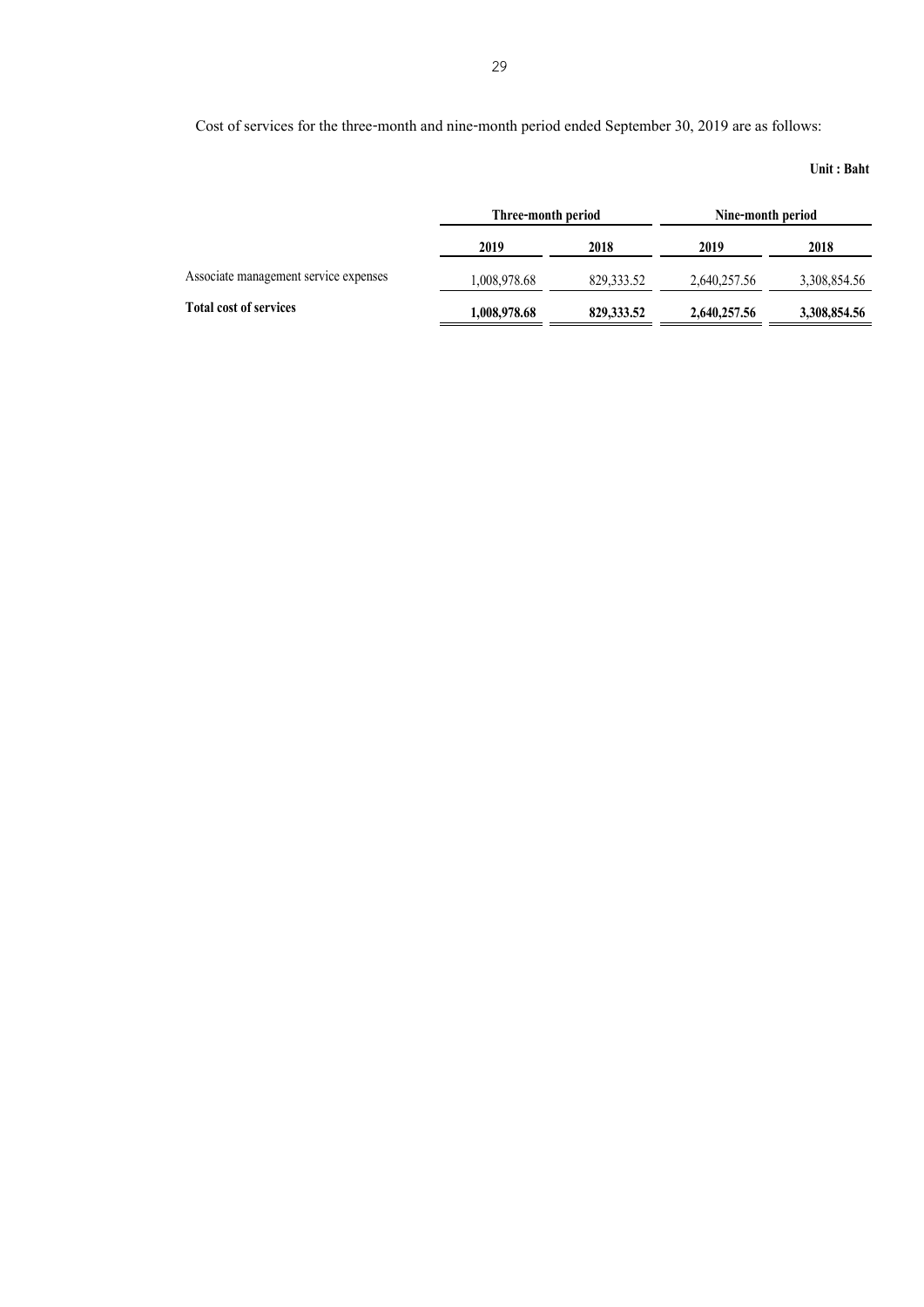Cost of services for the three-month and nine-month period ended September 30, 2019 are as follows:

|                                       | Three-month period |             | Nine-month period |              |
|---------------------------------------|--------------------|-------------|-------------------|--------------|
|                                       | 2019               | 2018        | 2019              | 2018         |
| Associate management service expenses | 1,008,978.68       | 829, 333.52 | 2,640,257.56      | 3,308,854.56 |
| <b>Total cost of services</b>         | 1,008,978.68       | 829, 333.52 | 2,640,257.56      | 3,308,854.56 |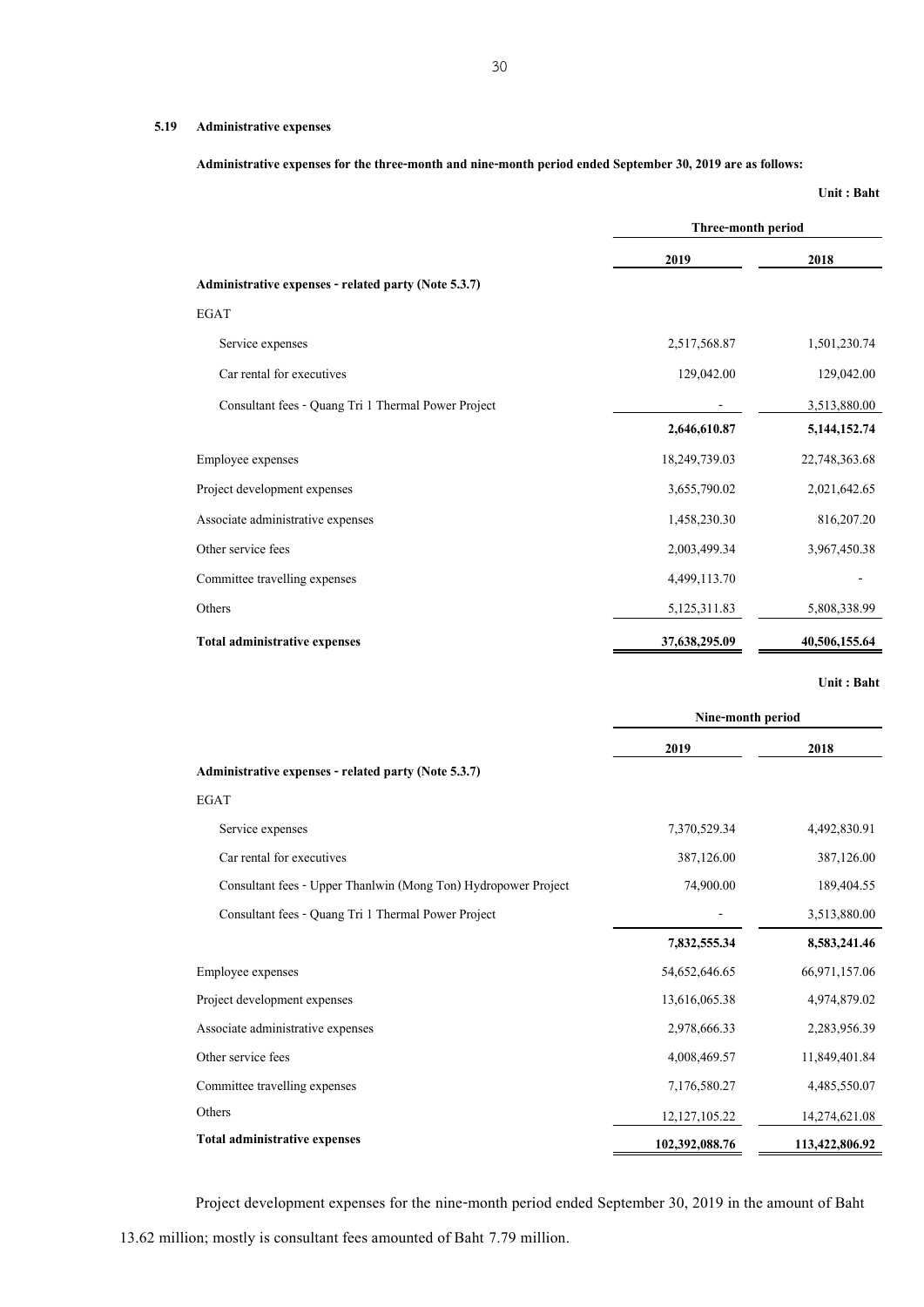#### **5.19 Administrative expenses**

**Administrative expenses for the three-month and nine-month period ended September 30, 2019 are as follows:** 

**Unit : Baht**

|                                                      | Three-month period |                 |  |
|------------------------------------------------------|--------------------|-----------------|--|
|                                                      | 2019               | 2018            |  |
| Administrative expenses - related party (Note 5.3.7) |                    |                 |  |
| <b>EGAT</b>                                          |                    |                 |  |
| Service expenses                                     | 2,517,568.87       | 1,501,230.74    |  |
| Car rental for executives                            | 129,042.00         | 129,042.00      |  |
| Consultant fees - Quang Tri 1 Thermal Power Project  |                    | 3,513,880.00    |  |
|                                                      | 2,646,610.87       | 5, 144, 152. 74 |  |
| Employee expenses                                    | 18,249,739.03      | 22,748,363.68   |  |
| Project development expenses                         | 3,655,790.02       | 2,021,642.65    |  |
| Associate administrative expenses                    | 1,458,230.30       | 816,207.20      |  |
| Other service fees                                   | 2,003,499.34       | 3,967,450.38    |  |
| Committee travelling expenses                        | 4,499,113.70       |                 |  |
| Others                                               | 5,125,311.83       | 5,808,338.99    |  |
| Total administrative expenses                        | 37,638,295.09      | 40,506,155.64   |  |

**Unit : Baht**

|                                                                | Nine-month period |                |  |
|----------------------------------------------------------------|-------------------|----------------|--|
|                                                                | 2019              | 2018           |  |
| Administrative expenses - related party (Note 5.3.7)           |                   |                |  |
| <b>EGAT</b>                                                    |                   |                |  |
| Service expenses                                               | 7,370,529.34      | 4,492,830.91   |  |
| Car rental for executives                                      | 387,126.00        | 387,126.00     |  |
| Consultant fees - Upper Thanlwin (Mong Ton) Hydropower Project | 74,900.00         | 189,404.55     |  |
| Consultant fees - Quang Tri 1 Thermal Power Project            |                   | 3,513,880.00   |  |
|                                                                | 7,832,555.34      | 8,583,241.46   |  |
| Employee expenses                                              | 54,652,646.65     | 66,971,157.06  |  |
| Project development expenses                                   | 13,616,065.38     | 4,974,879.02   |  |
| Associate administrative expenses                              | 2,978,666.33      | 2,283,956.39   |  |
| Other service fees                                             | 4,008,469.57      | 11,849,401.84  |  |
| Committee travelling expenses                                  | 7,176,580.27      | 4,485,550.07   |  |
| Others                                                         | 12, 127, 105.22   | 14,274,621.08  |  |
| <b>Total administrative expenses</b>                           | 102,392,088.76    | 113,422,806.92 |  |

Project development expenses for the nine-month period ended September 30, 2019 in the amount of Baht

30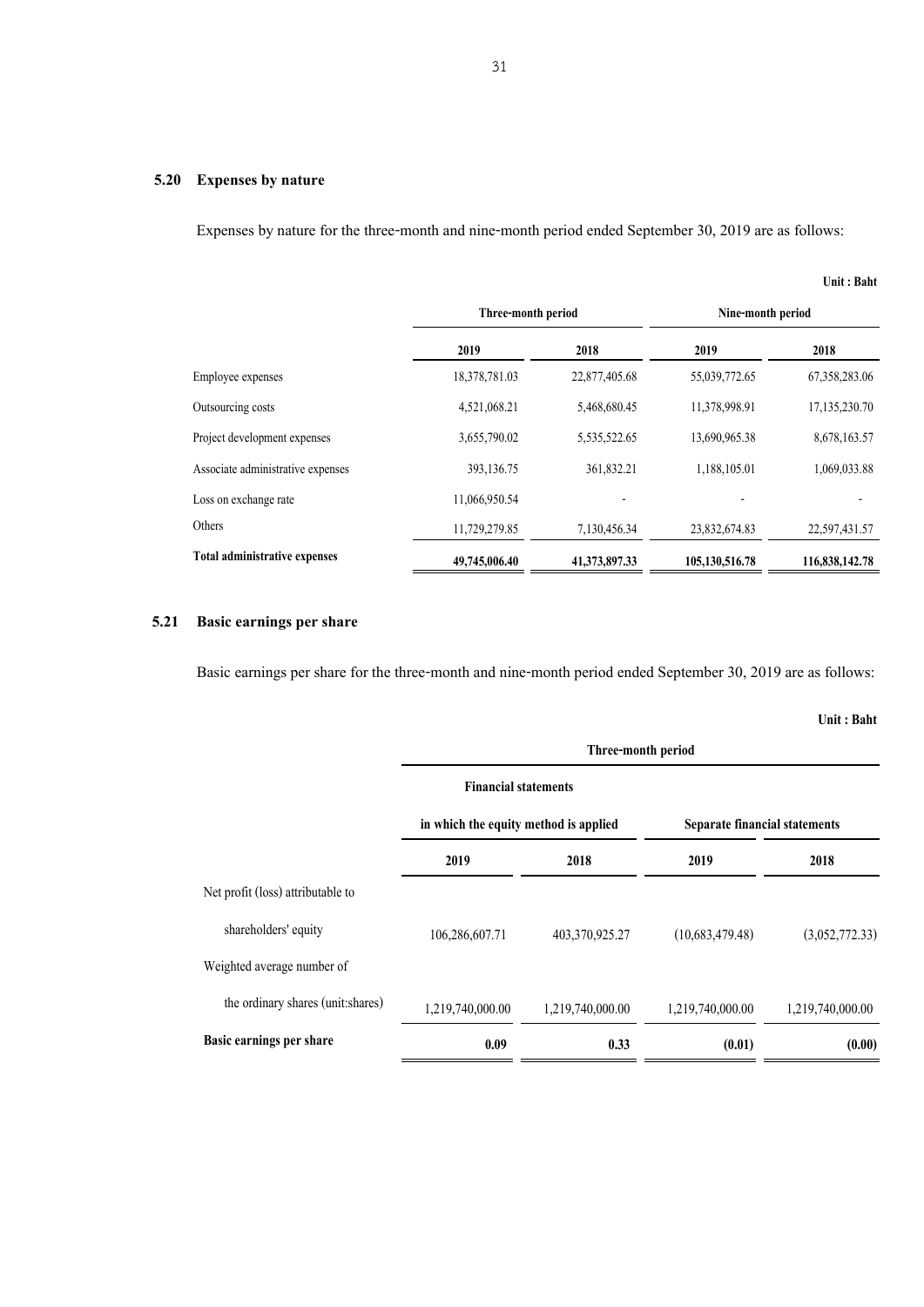#### **5.20 Expenses by nature**

Expenses by nature for the three-month and nine-month period ended September 30, 2019 are as follows:

|                                      |                    |               |                   | Unit: Baht       |
|--------------------------------------|--------------------|---------------|-------------------|------------------|
|                                      | Three-month period |               | Nine-month period |                  |
|                                      | 2019               | 2018          | 2019              | 2018             |
| Employee expenses                    | 18,378,781.03      | 22,877,405.68 | 55,039,772.65     | 67, 358, 283. 06 |
| Outsourcing costs                    | 4,521,068.21       | 5,468,680.45  | 11,378,998.91     | 17,135,230.70    |
| Project development expenses         | 3,655,790.02       | 5,535,522.65  | 13,690,965.38     | 8,678,163.57     |
| Associate administrative expenses    | 393,136.75         | 361,832.21    | 1,188,105.01      | 1,069,033.88     |
| Loss on exchange rate                | 11,066,950.54      |               |                   |                  |
| Others                               | 11,729,279.85      | 7,130,456.34  | 23,832,674.83     | 22,597,431.57    |
| <b>Total administrative expenses</b> | 49,745,006.40      | 41,373,897.33 | 105,130,516.78    | 116,838,142.78   |

#### **5.21 Basic earnings per share**

Basic earnings per share for the three-month and nine-month period ended September 30, 2019 are as follows:

|                                    | Three-month period                    |                             |                               |                  |  |  |
|------------------------------------|---------------------------------------|-----------------------------|-------------------------------|------------------|--|--|
|                                    |                                       | <b>Financial statements</b> |                               |                  |  |  |
|                                    | in which the equity method is applied |                             | Separate financial statements |                  |  |  |
|                                    | 2019                                  | 2018                        | 2019                          | 2018             |  |  |
| Net profit (loss) attributable to  |                                       |                             |                               |                  |  |  |
| shareholders' equity               | 106,286,607.71                        | 403,370,925.27              | (10,683,479.48)               | (3,052,772.33)   |  |  |
| Weighted average number of         |                                       |                             |                               |                  |  |  |
| the ordinary shares (unit: shares) | 1,219,740,000.00                      | 1,219,740,000.00            | 1,219,740,000.00              | 1,219,740,000.00 |  |  |
| Basic earnings per share           | 0.09                                  | 0.33                        | (0.01)                        | (0.00)           |  |  |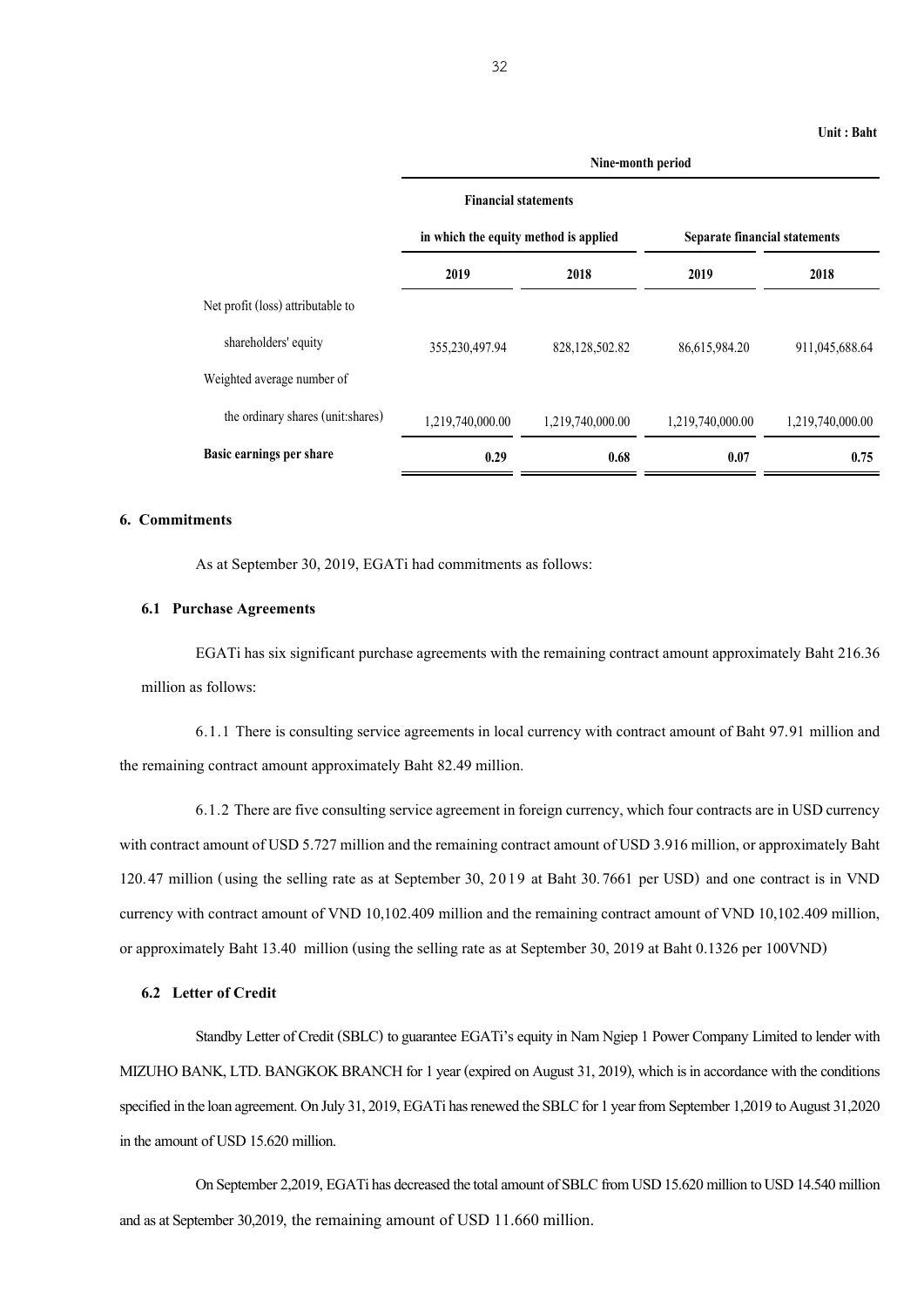|                                    | Nine-month period                     |                             |                               |                  |  |  |
|------------------------------------|---------------------------------------|-----------------------------|-------------------------------|------------------|--|--|
|                                    |                                       | <b>Financial statements</b> |                               |                  |  |  |
|                                    | in which the equity method is applied |                             | Separate financial statements |                  |  |  |
|                                    | 2019                                  | 2018                        | 2019                          | 2018             |  |  |
| Net profit (loss) attributable to  |                                       |                             |                               |                  |  |  |
| shareholders' equity               | 355,230,497.94                        | 828, 128, 502. 82           | 86,615,984.20                 | 911,045,688.64   |  |  |
| Weighted average number of         |                                       |                             |                               |                  |  |  |
| the ordinary shares (unit: shares) | 1,219,740,000.00                      | 1,219,740,000.00            | 1,219,740,000.00              | 1,219,740,000.00 |  |  |
| Basic earnings per share           | 0.29                                  | 0.68                        | 0.07                          | 0.75             |  |  |

#### **6. Commitments**

As at September 30, 2019, EGATi had commitments as follows:

#### **6.1 Purchase Agreements**

EGATi has sixsignificant purchase agreements with the remaining contract amount approximately Baht 216.36 million as follows:

6.1.1 There is consulting service agreements in local currency with contract amount of Baht 97.91 million and the remaining contract amount approximately Baht 82.49 million.

6.1.2 There are five consulting service agreement in foreign currency, which four contracts are in USD currency with contract amount of USD 5.727 million and the remaining contract amount of USD 3.916 million, or approximately Baht 120.47 million (using the selling rate as at September 30, 2019 at Baht 30.7661 per USD) and one contract is in VND currency with contract amount of VND 10,102.409 million and the remaining contract amount of VND 10,102.409 million, or approximately Baht 13.40 million (using the selling rate as at September 30, 2019 at Baht 0.1326 per 100VND)

#### **6.2 Letter of Credit**

Standby Letter of Credit (SBLC) to guarantee EGATi's equity in Nam Ngiep 1 Power Company Limited to lender with MIZUHO BANK, LTD. BANGKOK BRANCH for 1 year (expired on August 31, 2019), which is in accordance with the conditions specified in the loan agreement. OnJuly 31, 2019, EGATihas renewed the SBLC for 1 year from September 1,2019 to August 31,2020 in the amount of USD 15.620 million.

On September 2,2019, EGATi has decreased the total amount of SBLC from USD 15.620 million to USD 14.540 million and as at September 30,2019, the remaining amount of USD 11.660 million.